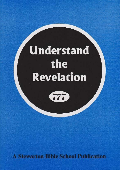# **Understand** the Revelation



**A Stewarton Bible School Publication**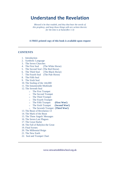## **Understand the Revelation**

*Blessed is he that readeth, and they that hear the words of this prophesy, and keep those things with are written therein: for the time is at hand.(Rev 1:3)*

#### **A FREE printed copy of this book is available upon request**

### **CONTENTS**

- 1. [Introduction](../../../../../SBS777/prophecy/revbook/revbook.html#introduction#introduction)
- 2. [Symbolic Language](../../../../../SBS777/prophecy/revbook/revbook.html#symbolicLanguage#symbolicLanguage)
- 3. [The Seven Churches](../../../../../SBS777/prophecy/revbook/revbook.html#sevenChurches#sevenChurches)
- 4. The [First Seal](../../../../../SBS777/prophecy/revbook/revbook.html#firstSeal#firstSeal) (The White Horse)
- 5. [The Second Seal](../../../../../SBS777/prophecy/revbook/revbook.html#secondSeal#secondSeal) (The Red Horse)
- 6. [The Third Seal](../../../../../SBS777/prophecy/revbook/revbook.html#thirdSeal#thirdSeal) (The Black Horse)
- 7. [The Fourth Seal](../../../../../SBS777/prophecy/revbook/revbook.html#fourthSeal#fourthSeal) (The Pale Horse)
- 8. [The Fifth Seal](../../../../../SBS777/prophecy/revbook/revbook.html#fifthSeal#fifthSeal)
- 9. [The Sixth Seal](../../../../../SBS777/prophecy/revbook/revbook.html#sixthSeal#sixthSeal)
- 10. [The Sealing of the 144,000](../../../../../SBS777/prophecy/revbook/revbook.html#sealing#sealing)
- 11. [The Innumerable Multitude](../../../../../SBS777/prophecy/revbook/revbook.html#innumerable#innumerable)
- 12. [The Seventh Seal](../../../../../SBS777/prophecy/revbook/revbook.html#seventhSeal#seventhSeal)
	- o [The First Trumpet](../../../../../SBS777/prophecy/revbook/revbook.html#firstTrumpet#firstTrumpet)
	- o [The Second Trumpet](../../../../../SBS777/prophecy/revbook/revbook.html#secondTrumpet#secondTrumpet)
	- o [The Third Trumpet](../../../../../SBS777/prophecy/revbook/revbook.html#thirdTrumpet#thirdTrumpet)
	- o [The Fourth Trumpet](../../../../../SBS777/prophecy/revbook/revbook.html#fourthTrumpet#fourthTrumpet)
	- o [The Fifth Trumpet](../../../../../SBS777/prophecy/revbook/revbook.html#fifthTrumpet#fifthTrumpet) **(First Woe!)**
	- o [The Sixth Trumpet](../../../../../SBS777/prophecy/revbook/revbook.html#sixthTrumpet#sixthTrumpet) **(Second Woe!)**
	- o [The Seventh Trumpet](../../../../../SBS777/prophecy/revbook/revbook.html#seventhTrumpet#seventhTrumpet) **(Third Woe!)**
- 13. [The Beast of Revelation 13](../../../../../SBS777/prophecy/revbook/revbook.html#beast#beast)
- 14. [The Mark of the Beast](../../../../../SBS777/prophecy/revbook/revbook.html#mark#mark)
- 15. [The Three Angels' Messages](../../../../../SBS777/prophecy/revbook/revbook.html#angelmsg#angelmsg)
- 16. [The Seven Last Plagues](../../../../../SBS777/prophecy/revbook/revbook.html#plagues#plagues)
- 17. [The Great Harlot](../../../../../SBS777/prophecy/revbook/revbook.html#harlot#harlot)
- 18. [The Fall of Babylon the Great](../../../../../SBS777/prophecy/revbook/revbook.html#fall#fall)
- 19. [Final Scenes](../../../../../SBS777/prophecy/revbook/revbook.html#final#final)
- 20. [The Millennial Reign](../../../../../SBS777/prophecy/revbook/revbook.html#reign#reign)
- 21. [The New Earth](../../../../../SBS777/prophecy/revbook/revbook.html#newEarth#newEarth)
- 22. Seal and Trumpet Chart

www.stewartonbibleschool.org.uk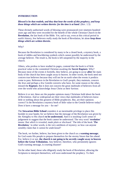#### **INTRODUCTION**

#### *Blessed is he that readeth, and they that hear the words of this prophecy, and keep those things which are written therein: for the time is at hand.* (Rev. 1:3)

These divinely authorised words of blessing were pronounced over nineteen hundred years ago and they were recorded for the benefit of the whole Christian Church in the **Revelation**, the last book of the Bible. Yet, sad to say, even at this critical period in earth's history, few believers really study the book of Revelation, let alone *keep those things which are written therein.* 

#### Why?

Because the Revelation is considered by many to be a closed book, a mystery book, a book of riddles and bewildering symbols which cannot possibly be understood by the average believer. The result is, the book is left unopened by the majority in the church.

Others, who profess to have studied its pages, contend that the book is of little practical value to the committed Christian awaiting the **Secret Rapture.** Why? Because most of the events it foretells, they believe, are going to occur **after** the main body of the church has been caught away to heaven. In other words, the book need not concern true believers because they will not be on earth when the events it predicts come to pass. References in the Revelation to *God's people*, they maintain, concern the Jews and perhaps a few Gentile converts who have, for some reason or the other, missed the **Rapture.** But it does not concern the great multitude of believers from all over the world who acknowledge Jesus Christ as their Saviour.

Believe it or not, these are the popular opinions many Christians hold about the book of Revelation. And so widespread are their views that multitudes of believers know little or nothing about this greatest of Bible prophecies. But, are their opinions correct? Is the Revelation a mystery book of little value to the Gentile believer today? Does it have a message for you  $-$  for me?

The **Stewarton Bible School** considers it an inestimable privilege to place this booklet in your hands; for we believe that the message of the Revelation was given by the Almighty to His church **to be understood.** And it is insulting God's sense of judgement to suggest that the book cannot be understood. The very word *'revelation'*  means *'that which is revealed, made plain or disclosed.'* The title of the book *'The Revelation,'* in other words, is the very antithesis of mystery; so how can anyone sensibly claim that *it cannot be understood?*

The book, we further, believe, has been given to the church as a **warning message**; for God wants His people to prepare themselves for the stormy future that lies ahead. For, believe it or not, **the church is not going to be secretly caught away to heaven before the Great Tribulation.** Any believer, therefore, who persistently ignores God's warning message, is courting disaster!

On the other hand, those who diligently study the book of Revelation, allowing the Scriptures to interpret themselves, will soon understand the prophecy. To their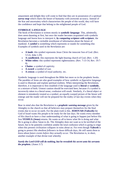amazement and delight they will come to find that they are in possession of a spiritual *survey map* which charts the future of humanity with awesome accuracy. Instead of the fear and uncertainty which characterises the people of this world, they will have the confidence and hope that belong to the enlightened people of God.

#### **SYMBOLIC LANGUAGE**

The book of Revelation is written mostly in *symbolic language*. This, admittedly, does seem daunting at first, but once the reader becomes acquainted with symbolic language and learns how to interpret it*, by comparing scripture with scripture,* the Revelation becomes a veritable storehouse of information about the future of mankind. A *symbol* is something which represents or stands for something else. Examples of symbols used in the Revelation are:

- **A lamb**: this symbol represents Jesus Christ the innocent Son of God. (Rev. 5:5-6, John 1:29)
- **A candlestick**: this represents the light-bearing church of God. (Rev. 1:20)
- **White robes:** this symbol represents righteousness. (Rev. 7:13-14, Rev. 19:7- 8)
- **Chains**: a symbol of captivity.
- **A sword**: a symbol of war.
- **A crown:** a symbol of royal authority. etc.

Symbolic language is used throughout the Bible but more so in the prophetic books. The parables of Jesus are also good examples of how *symbolic* or *figurative language* is used to illustrate and explain spiritual realities. When interpreting the Revelation, therefore, it is important to first establish if the language used is **literal** or **symbolic**, or a mixture of both. Utmost caution should be exercised here; because if a symbol is incorrectly taken in a literal sense, confusion will result. Similarly, if a literal object or element is mistakenly treated as a symbol, an equally warped picture of the future will emerge and the reader will not be prepared for the reality of last day events when they occur.

Bear in mind also that the Revelation is a *prophetic warning message* given by the Almighty to the church so that all believers may prepare themselves for the final events due to occur on earth. For the plain truth is this, **JEHOVAH (Yahweh)** the God of Israel wants His people to be ready for the last days. He wants every member of His church to have a clear understanding of what is going to happen just before His Son **YESHUA (Jesus)** returns. He wants us all to know what He is doing and what He is going to allow Satan to do. The Almighty does not want us to be terrified of the future, but to be patiently confident amidst the total confusion which is going to reign when this present civilisation collapses in ruins about us. For even though **Yahweh** is going to protect His *obedient followers* in those difficult days, *He still wants them to know about future events before they actually occur.* The Revelation is, in short, another example of that divine trait whereby

### *Surely the Lord GOD will do nothing, but he revealeth his secret unto his servants the prophets.* (Amos 3:7)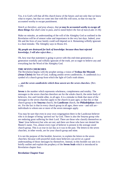Yes, it is God's will that all His church know of the future; and not only that we know what to expect, but that we come into line with His will soon, so that we may be accounted worthy to escape punishment.

*Watch ye therefore, and pray always, that ye may be accounted worthy to escape all these things that shall come to pass, and to stand before the Son of man.*(Luke 21:36)

Make no mistake, an understanding of the will of the Almighty God as outlined in the Revelation will be of utmost value and importance in the very last days. Indeed, your life and the lives of your family could well depend on it. Remaining wilfully ignorant is a fatal mistake. The Almighty says in Hosea 4:6.

#### *My people are destroyed for lack of knowledge: because thou hast rejected knowledge, I will also reject thee…*

Oh, how true that statement is going to prove with this end-time generation; a generation woefully and wilfully ignorant of the truth, yet so eager to believe any and everything but the Word of the Almighty God.

#### **THE SEVEN CHURCHES**

The Revelation begins with the prophet seeing a vision of **Yeshua the Messiah (Jesus Christ)** the Son of God, walking amidst seven candlesticks. A candlestick is a symbol of a church group from which the light of God's truth shines.

#### *… and the seven candlesticks which thou sawest are the seven churches.* (Rev. 1:20)

**Seven** is the number which represents wholeness, completeness and totality. The messages to the seven churches therefore are for the whole church, the entire body of believers, Jew and Gentile alike, in all ages. It is a mistake to think that most of the messages to the seven churches apply to the church in past ages; or that this or that church group is the **Smyrna** church, the **Laodicean** church, the **Philadelphian** church etc. For the fact is that in every church group in all ages, there were - and still are individuals to whom one or more of the seven messages apply.

You may be sure that even in your own congregation there is the Laodicean believer who is in danger of being *'spewed out'* by God. There is also the Smyrna group who are enduring great suffering for their Lord. There are those who classify themselves as *'Jews'* (true believers) but who are not; and there are those who have not denied the Master's name. Yes, almost every type of believer is present in the average-sized church group. This is as true in our day as it was in the past. The letters to the seven churches, in other words, are for your church group and mine.

It is not the purpose of this booklet, however, to explain the letters to the seven churches; because with prayerful study most believers can arrive at a good understanding of those messages by themselves. Instead, in this booklet our aim is to briefly outline and explain the prophecy of the **Seven Seals** which is introduced in Revelation chapter four.

#### **Revelation Chapter Four**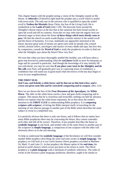This chapter begins with the prophet seeing a vision of the Almighty seated on His throne. In **Jehovah's** (Yahweh's) right hand the prophet sees a scroll which is sealed with seven seals. The only one in the universe who is qualified to open the sealed scroll is **Yeshua the Messiah** (Jesus Christ, the Son of the Living God). He is symbolised as the **Lamb of God** (John 1:29). The heavenly hosts around the Almighty's throne rejoice at the fact that at last someone has been found worthy to open the scroll and tell its contents. From this we may infer that the angelic host are intensely eager to learn about the future *of those things which must shortly come to pass.* Oh that the church on earth would display a similar interest in the sealed scroll and the future of humanity. It is true, multitudes are apparently interested in the future, because great sums of money are spent each week by people who *consult witches, fortune tellers, astrologers* and *mystics* of every shade and type; but how few, by comparison, consult the **Word of God** or study the prophecies in order to find out what the Almighty says about the future? How very few!

We trust that when you have thoroughly studied this booklet, you will have taken a great step forward in understanding what the *real future* holds in store for humanity at large and for yourself in particular. And though the knowledge of it may initially fill you with dread, you may be sure that **if you place your trust in the Almighty and do His will,** your fears will gradually give way to a growing sense of confidence, a confidence that will stand you in good stead when the terrors of the last days begin to occur in your neighbourhood.

#### **THE FIRST SEAL**

#### *And I saw, and behold, a white horse; and he that sat on him had a bow; and a crown was given unto him and he went forth conquering and to conquer.* (Rev. 6:2)

Here we are shown the first of the *Four Horsemen of the Apocalypse,* the **White Horse**. The rider on the white horse carries a bow and goes forth conquering and to conquer. This means that he is victorious and invincible; nothing can halt his advance. Before we explain what the white horse represents, let us first draw the reader's attention to the **FIRST CLUE** to understanding Bible prophecy. It is *comparing scripture with scripture***:** of letting the Bible interpret itself; of searching for the meaning of one obscure passage in another part of the Bible which describes the same subject or event in a simplified way.

It is perfectly obvious that there is only one future, and it follows that no matter how many Bible prophecies there may be concerning the future, they cannot contradict each other and still all be correct. Therefore, if one prophet describes the future in **symbolic language** in one book, and another tells of the same future in another part of the scriptures in **simple language,** a comparison of one scripture with the other will obviously direct us to the real meaning.

To help us understand the **symbolic language** of the Revelation we will first consider another Bible prophecy describing the same end-time scenes in **simple language**. The prophecy we will look at is our Lord's famous Olivet prophecy recorded in Matthew 24, Mark 13 and Luke 21. In that prophecy the Master spoke of the **end-time,** the period in earth's history which occurs just prior to his return to earth. The Olivet prophecy is in *plain language* with a minimum of symbolic references. The order of events in the Saviour's *plain language* prediction, therefore, ought to be similar to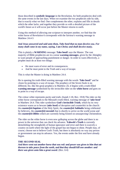those described in *symbolic language* in the Revelation, for both prophecies deal with the same events in the last days. When we examine the two prophecies side by side, that is exactly what we find. One complements the other, explains and fills in details which the other lacks: and together they provide us with a detailed picture of the world's future as it will occur just before the Master returns to earth.

Using this method of allowing one scripture to interpret another, we find that the white horse of Revelation 6 corresponds with the Saviour's warning message in Matthew 24.4-5

#### *And Jesus answered and said unto them, Take heed that no man deceive you. For many shall come in my name, saying, I am Christ; and shall deceive many.*

This is plainly a **WARNING** message: **Take heed!** says the Master. The vast majority of Bible prophecies are in a sense **warning messages**, given by the Almighty to warn people of approaching punishment or danger. In order to warn effectively, a prophet must do at least two things:

- He must warn of error and its consequences.
- And he must point to the Truth and a way of escape.

This is what the Master is doing in Matthew 24.4.

He is opening his truth-filled warning message with the words *'Take heed!'* and he closes by pointing to a way of escape. The prophecy of the Seven Seals is no different; for, like the great prophecy in Matthew 24, it begins with a truth-filled **warning message** symbolised by the invincible rider on the **white horse** and goes on to point to a way of escape.

The colour white represents purity and truth. (Isaiah 1:18, Rev. 19:8) The rider on the white horse corresponds to the Messiah's truth-filled, warning message of *'take heed'* in Matthew 24.4. This rider symbolises **God's Invincible Truth**, which by its very existence warns us to beware (*take heed*) of deception and counterfeit in the church: the *counterfeit baptism* of the Holy Spirit, the *counterfeit Sabbaths* being celebrated by believers, the *counterfeit messiah* that is shortly to arrive on the world scene and the *counterfeit Bibles* which are currently being foisted on unsuspecting Christendom.

The rider on the white horse is even now galloping across the globe and there is no power in the universe that can check his advance. **Yahweh's Truth** is currently demolishing the strongholds of human ignorance and error and there is scarcely a country on earth where the light of the gospel has not begun to shine. People may, of course, choose not to believe God's Truth, but there is absolutely no way any person or government can stop its advance. Yes, the events under the first seal have already begun.

#### **THE SECOND SEAL**

*And there went out another horse that was red: and power was given to him that sat thereon to take peace from the earth, and that they should kill one another: and there was given unto him a great sword.* (Rev. 6:4)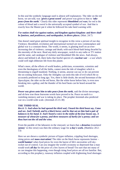In this seal the symbolic language used is almost self explanatory. The rider on the red horse, we are told, was *'given a great sword'* and power was given to him to *'take peace from the earth.'* Clearly this rider represents **bloodshed** and **war;** for red is the colour of *blood* and a *sword* is the universally accepted symbol of war. And that is exactly how the Master put it when he followed his take heed warning with:

#### *For nation shall rise against nation, and kingdom against kingdom: and there shall be famines, and pestilences, and earthquakes, in divers places.* (Matt. 24:7)

One doesn't need great spiritual insight to recognise in this verse a picture of our day. Violence, bloodshed, revolution and international turmoil are now commonplace and global war is a constant threat. The world, it seems, is glutting itself on an everincreasing diet of violence, carnage and death; with each blood-bath being dwarfed by the enormity of the next. Read any daily newspaper, switch to any radio or TV station and the same, sad catalogue of violence and bloodshed fills the news. And always, above and behind it all, there lurks that fearful spectre of a *nuclear war*  $-$  a war which could well nigh obliterate life from this planet.

What's more, all the efforts of world leaders, politicians, economists, scientists and even the theologians of all the faiths, cannot stem the tide of slaughter which is threatening to engulf mankind. Nothing, it seems, anyone can say or do can prevent the on-coming holocaust. Only the Almighty can stem this tide of evil which He so accurately predicted so long ago. Yes, there is little doubt, the second horseman of the Apocalypse, the rider on the red horse, like the white horse before him, is even now breaking into a gallop; and the thunder of his hoof beats can be heard around the world.

*Power was given unto him to take peace from the earth,* said the divine messenger, and oh how true those fearsome words have proved to be. Peace on earth is a vanishing memory and war is taking its place. The prophet Jeremiah also predicted war on a world-wide scale. (Jeremiah 25:15-38)

#### **THE THIRD SEAL**

*Rev.6: 5: And when he had opened the third seal, I heard the third beast say, Come and see. And I beheld, and lo a black horse; and he that sat on him had a pair of balances in his hand. 6: And I heard a voice in the midst of the four beasts say, A measure of wheat for a penny, and three measures of barley for a penny; and see thou hurt not the oil and the wine.*

From the parable of the labourers in the vineyard, we learn that a *denarius* (translated '**penny'** in this verse) was then the ordinary wage for **a day's work.** (Matthew 20:2- 13)

Here we are shown a symbolic picture of hyper-inflation, crippling food shortages, rising prices and **mass starvation!** The rider on the black horse represents famine **world famine!** when food prices for even the barest of life's necessities will skyrocket out of control. Can you imagine the world's economy so depressed that a man would work *all day* for the price of a few loaves of bread? I'm sure that not many of us can imagine this happening, even though rising food prices are all too familiar. But, according to this prophecy, runaway inflation coupled with frightening food shortages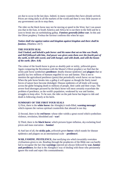are due to occur in the last days. Indeed, in many countries they have already arrived, Prices are rising daily in all the markets of the world and there is very little anyone or any government can do to stop them.

The rider on the black horse may not be moving at speed in the West, but I can assure you that in the East, in South America and Africa he is out there in the field and he is soon to break into an earthshaking gallop. *Famines generally follow war.* In this and the Olivet prophecy Yeshua the Saviour confirms this when he says:

*Nation shall rise against nation and kingdom against kingdom and there shall be famines.* (Matthew 24:7)

#### **THE FOURTH SEAL**

*And I looked, and behold a pale horse: and his name that sat on him was Death, and Hell followed with him. And power was given unto them over the fourth part of the earth, to kill with sword, and with hunger, and with death, and with the beasts of the earth.* **(Rev. 6:8)**

The colour of the fourth horse is given as *deathly pale* or sickly, yellowish green. Again comparing the Revelation with the Master's Olivet prophecy we find that the sickly pale horse symbolises **pestilence:** deadly disease epidemics and **plagues** that so quickly lay low millions of humans engulfed in war and famine. This is not to mention the agricultural pestilence (pests) that periodically wreck havoc on our farms. When the pale horse breaks into a gallop it will appear as though the finely tuned forces of nature have become dislodged. Disease epidemics of all kinds will sweep across the globe bringing death to millions of people, their cattle and their crops. The severe food shortages pictured by the black horse will most certainly exacerbate the problem of pestilence, as the world's population, weakened by war and famine, struggles to keep alive. To be sure, the rider on the pale horse has begun to ride and death is following closely at his heels.

#### **SUMMARY OF THE FIRST FOUR SEALS**

1) First, there is the **white horse:** the Almighty's truth-filled, **warning message!** which exposes the various spiritual counterfeits that abound in our day.

2) Second, there is the **red horse:** whose rider wields a great sword which symbolises violence, revolution, bloodshed and - **war!**

3) Third, there is the **black horse:** which pictures hyper-inflation, sky-rocketing food prices and mass starvation **famine!**

4) And last of all, the **sickly pale,** *yellowish-green* **horse:** which stands for disease epidemics and plagues on an international scale – **pestilence!**.

**WAR, FAMINE**, **PESTILENCE,** that terrifying trio which invariably overtakes civilisations given to sin. Reading through the prophecies of the Bible one can hardly fail to recognise the fact that **warnings** rejected are always followed by **war, famine and pestilence;** for that is the Almighty's way of dealing with those who persistently ignore His truth and reject His commandments.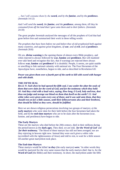*… but I will consume them by the sword, and by the famine, and by the pestilence.* (Jeremiah 14:12)

*And I will send the sword, the famine, and the pestilence, among them, till they be consumed from off the land that I gave unto them and to their fathers.* (Jeremiah 24:10)

The great prophet Jeremiah analysed the messages of all the prophets of God that had gone before him and summarised their work in these telling words:

*The prophets that have been before me and before thee of old prophesied both against many countries, and against great kingdoms, of <i>war, and of evil, and of pestilence.* (Jeremiah 28:8)

Oh yes, **divine warning** is the opening theme of almost every Bible prophecy, and when rejected is always followed by **war, famine** and **pestilence.** But will mankind ever take heed and recognise this fact, that if warnings are rejected there always follows **war, famine** and **pestilence?** It is doubtful. People, it seems, are quite unable or unwilling to link national calamity with national sin. The Four Horsemen of the Apocalypse have, nonetheless, begun to ride, and as described in Revelation 6:8:

*Power was given them over a fourth part of the earth to kill with sword with hunger and with death.* 

#### **THE FIFTH SEAL**

*Rev.6: 9: And when he had opened the fifth seal, I saw under the altar the souls of them that were slain for the word of God, and for the testimony which they held: 10: And they cried with a loud voice, saying, How long, O Lord, holy and true, dost thou not judge and avenge our blood on them that dwell on the earth? 11: And white robes were given unto every one of them; and it was said unto them, that they should rest yet for a little season, until their fellowservants also and their brethren, that should be killed as they were, should be fulfilled.*

Here we are shown religious persecutions involving two groups of martyrs; a) the **early martyrs** who were slain for their faith before the four horsemen had taken the field, and b) the **end-time martyrs** who are to be slain after the horsemen (war, famine, and pestilence) have begun to ride.

#### **The Early Martyrs**

These are the martyrs who died before the 20th century, died in their millions during the period known as the **dark ages.** They died, we are told, *'for the Word of God'* and *'for their testimony.'* The blood of these martyrs has still not been avenged; nor are they rejoicing in heaven right now. Instead they were *each given a white robe* (accredited with the righteousness of Jesus) and told to rest, to wait for a little season till another great martyrdom took place.

#### **The End-time Martyrs**

These martyrs would be killed '*as they* (the early martyrs) *were.'* In other words they would be martyred for the very same reason that the early martyrs died: that is, for the **Word of God** (the Bible) and their testimony. In short, the martyrdom under the fifth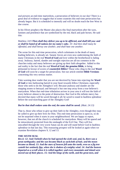seal pictures an end-time martyrdom, a persecution of believers in our day! There is a great deal of evidence to suggest that in some countries this end-time persecution has already begun. But it is scheduled to intensify and will no doubt reach the free West in due course.

In his Olivet prophecy the Master also places this final martyrdom after the wars, famines and pestilence that are symbolised by the red, black and pale horses. He said this:

Matthew 24:9 *Then shall they deliver you up to be afflicted, and shall kill you: and ye shall be hated of all nations for my name's sake. 10: And then shall many be offended, and shall betray one another, and shall hate one another.* 

The scene for this end-time persecution, which culminates in the death of many leading believers, is already set. Satanic forces are even now undermining the faith of many Christians in the real **Word of God** and love within the brotherhood is fading away. Jealousy, hatred, slander and outright rejection are all too common in the churches today and many believers are giving up their faith altogether. Added to this sad reality is the fact that the real **Word of God, the genuine Bible,** is being jettisoned in favour of scores of *counterfeit Bibles!* Those who cling to the real **Word of God** will soon be a target for persecution. See our article entitled **Bible Versions**  concerning this very serious matter.

Take warning dear reader that you are not deceived by Satan into rejecting the **Word of God** or into harbouring hatred in your heart towards fellow Christians; especially those who seek to do the Almighty's will. Because jealousy and slander are the stepping stones to betrayal; and betrayal is but one step away from a true believer's martyrdom. When that end-time tribulation arrives in your area it will test the faith of every believer almost to the point of destruction. But God in His infinite mercy has decreed that many will be saved through it all; be saved to stand in faultless splendour before the soul-searching gaze of the Almighty God!

#### *But he that shall endure unto the end, the same shall be saved. (Matt. 24:13)*

That is, those who refuse to give up their faith in the Almighty, even though they may be called to give up their lives for Him. This end-time persecution is upon us, so do not be surprised when it starts in your neighbourhood. We are happy to report, however, that not all the church is scheduled for martyrdom. Many will be spared and be miraculously protected from the onslaught of the Evil One. They will live unscathed through the very worst Satan can do and will stand before God in faultless splendour in that last day. This reassuring prospect will be looked at again when we examine Revelation chapters 9, 12 and 13.

#### **THE SIXTH SEAL**

*Rev.6: 12: And I beheld when he had opened the sixth seal, and, lo, there was a great earthquake; and the sun became black as sackcloth of hair, and the moon became as blood; 13: And the stars of heaven fell unto the earth, even as a fig tree casteth her untimely figs, when she is shaken of a mighty wind. 14: And the heaven departed as a scroll when it is rolled together; and every mountain and island were moved out of their places. 15: And the kings of the earth, and the great men, and*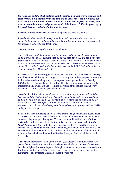*the rich men, and the chief captains, and the mighty men, and every bondman, and every free man, hid themselves in the dens and in the rocks of the mountains; 16: And said to the mountains and rocks, Fall on us, and hide us from the face of him that sitteth on the throne, and from the wrath of the Lamb: 17: For the great day of his wrath is come; and who shall be able to stand?*

Speaking of these same events in Matthew's gospel the Master said this:

*Immediately after the tribulation of those days shall the sun be darkened, and the moon shall not give her light, and the stars shall fall from heaven, and the powers of the heavens shall be shaken.* (Matt. 24:29)

The prophet Joel writing of this same period wrote:

*Joel 2: 30: And I will shew wonders in the heavens and in the earth, blood, and fire, and pillars of smoke. 31: The sun shall be turned into darkness, and the moon into blood, before the great and the terrible day of the LORD come. 32: And it shall come to pass, that whosoever shall call on the name of the LORD shall be delivered: for in mount Zion and in Jerusalem shall be deliverance, as the LORD hath said, and in the remnant whom the LORD shall call.*

In the sixth seal the reader is given a preview of that same end-time **celestial display**. It will be witnessed throughout our galaxy. The language of these prophecies seems to indicate that besides their spiritual counterparts, these signs will also be *literally fulfilled*. In other words, the whole earth will be shaken to its very foundations; the literal mountains will heave and swell like the waves of the restless sea and every island will be shifted from its primeval moorings.

*Jeremiah 4: 23: I beheld the earth, and, lo, it was without form, and void; and the heavens, and they had no light. 24: I beheld the mountains, and, lo, they trembled, and all the hills moved lightly. 25: I beheld, and, lo, there was no man, and all the birds of the heavens were fled. 26: I beheld, and, lo, the fruitful place was a wilderness, and all the cities thereof were broken down at the presence of the LORD, and by his fierce anger.*

Panic, blind, uncontrollable panic will sweep across the globe when the events under the 6th seal occur. Earth's terror-stricken inhabitants will incorrectly conclude that the universe is beginning to disintegrate. The sun, we are told, will become *black as sackcloth.* It will disappear for a short period of time and the *moon will glow like blood. Falling stars* (meteorites) in their thousands will criss-cross the sky and the heavens will be *rolled back as a scroll*. In that day, every man, woman and child the world over will be filled with the fear of the Almighty and nobody will then doubt his existence. Indeed, all mankind will realise that the day of God's wrath has arrived. (Rev. 6:17)

The events under this seal have obviously not yet happened. Admittedly there have been a few isolated instances in history when unusually large numbers of meteorites have been sighted from certain parts of the globe, or when the sun was darkened for a few hours; but it is forcing the issue to suggest that those local happenings are the fulfilment of this awesome 6th seal, because they are not.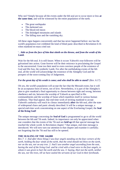Why not? Simply because all the events under the 6th seal are to occur more or less **at the same time,** and will be witnessed by the entire population of the earth.

- The great earthquake
- The darkened sun
- The blood-red moon
- The dislodged mountains and islands
- The falling stars and the vanishing sky.

All these signs happen concurrently and that has never happened before: nor has the world's population ever exhibited the kind of blind panic described in Revelation 6:16 when mankind en-mass cried out:

#### '…*hide us from the face of him that sitteth on the throne, and from the wrath of the Lamb.*

Wait for the 6th seal. It is still future. When it occurs Yahweh's true followers will be galvanised into action. Gone forever will be their reticence in proclaiming the Gospel to the unconverted. Gone too their need to even convince people of the existence of God and His Son, the symbolic Lamb. For after the earthshaking events of the 6th seal, all the world will acknowledge the existence of the Almighty God and the prospect of the soon-coming Day of Judgement.

### *For the great day of his wrath is come; and who shall be able to stand?* (Rev. 6:17)

Oh yes, the world's population will accept the fact that the Messiah exists; but it will be an acceptance born of terror, not of love. Nevertheless, it is part of the Almighty's plan to give mankind a final opportunity to choose between right and wrong, between obedience and sin, between the worship of Yahweh as specified in His commandments and the worship of Satan which manifests itself in various human traditions. That final appeal, that end-time work of inviting mankind to accept Yahweh's authority will reach its climax immediately **after** the 6th seal, after the state of widespread chaos and panic already described. It will be a unique message, a special end-time work concentrating on one aspect of the Everlasting Gospel, the **Seal of the living God!**

The unique message concerning the **Seal of God** is programmed to go to all the world between the 6th and 7th seals. Indeed, its importance can only be appreciated when one considers that the events of the 7th seal are *held up* till that special message has reached the whole world. In Revelation chapter 7 that unique, end-time message is introduced. We will now turn our attention to that chapter and examine it carefully; not forgetting that the 7th seal has still to be opened.

### **THE SEALING OF THE 144,000**

*Rev.7: 1: And after these things I saw four angels standing on the four corners of the earth, holding the four winds of the earth, that the wind should not blow on the earth, nor on the sea, nor on any tree. 2: And I saw another angel ascending from the east, having the seal of the living God: and he cried with a loud voice to the four angels, to whom it was given to hurt the earth and the sea, 3: Saying, Hurt not the earth, neither the sea, nor the trees, till we have sealed the servants of our God in their foreheads.*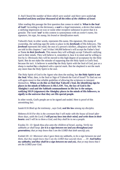#### *4: And I heard the number of them which were sealed: and there were sealed an hundred and forty and four thousand of all the tribes of the children of Israel.*

After reading this passage the first question that comes to mind is: **What is the Seal of God?** According to the dictionary, a **seal** is a legal instrument, a device that makes a ratifying impression on wax or some other receptive substance to prove that it is genuine. The word *'seal'* in this context is synonymous with an *owner's name, his signature, his sign, his stamp, his brand or identification mark.*

Yahweh's Seal, in other words, represents His name, His signature, His stamp of ownership, the ratifying sign He seeks to place in the *foreheads* of His followers. The *forehead* represents the mind, the seat of a person's intellect, allegiance and faith. We are told in this chapters 7 and 14 that 144,000 believer's will accept the Father's Seal or Name *in their foreheads.* This means they will willingly accept Yahweh's ratifying seal in their minds. They will believe it, remember it, bear it in mind and be willing to live by it. Obviously they will be moved to this high degree of acceptance by the Holy Spirit. But do not make the mistake of supposing that the Holy Spirit is God's Seal, because He isn't. A believer is sealed **by** the Holy Spirit with the Seal of God, just as a sheep is marked **by** a shepherd with a special mark. But the shepherd is not the mark any more than the Holy Spirit is the seal.

The Holy Spirit of God is the Agent who does the sealing, but **the Holy Spirit is not the Seal**. What, then, is the Seal or Sign of Yahweh the God of Israel? To find out we will again resort to that reliable guideline of allowing the scriptures to interpret themselves. **When we do this we find that Yahweh's Seal, the identifying sign he places in the minds of followers is His LAW. Yes, the law of God is the Almighty's seal and the Sabbath commandment in His law is the unique, ratifying SIGN (signature) the Almighty places in the minds of His followers, to signify to the universe that they are His special people.** 

In other words, God's people are to be signed and sealed. Here is proof of this astonishing fact.

Isaiah 8:16 *Bind up the testimony* , says God, *seal the law among my disciples.* 

Hebrews 8:10 *For this is the covenant that I will make with the house of Israel after those days, saith the Lord; I will put my laws into their mind, and write them in their hearts: and I will be to them a God, and they shall be to me a people.* 

Exodus 31: *13: Speak thou also unto the children of Israel, saying, Verily my sabbaths ye shall keep: for it is a sign between me and you throughout your generations; that ye may know that I am the LORD that doth sanctify you.* 

Ezekiel 20: *12: Moreover also I gave them my sabbaths, to be a sign between me and them, that they might know that I am the LORD that sanctify them. ... 20:* And hallow *my sabbaths; and they shall be a sign between me and you, that ye may know that I am the LORD your God.*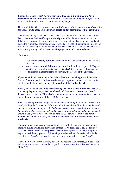Exodus 13: *9: And it shall be for a sign unto thee upon thine hand, and for a memorial between thine eyes, that the LORD's law may be in thy mouth: for with a strong hand hath the LORD brought thee out of Egypt.* 

#### Hebrews 10: *16: This is the covenant that I will make with them after those days, saith the Lord, I will put my laws into their hearts, and in their minds will I write them;*

These texts clearly prove that Yahweh's law, and the Sabbath commandment in His law, constitutes the identifying **seal** and **signature** He places in the minds of His followers. Consequently, when a believer remembers them, bears them in mind and keeps the Almighty's commandments, especially His Sabbath commandments, he/she is in effect declaring to the universe that Yahweh, the God of Israel, is his/her Father. *And what,* you may well ask, *are the Almighty's Sabbath commandments?* 

The answer is:

- They are the **weekly Sabbath** command in the Ten Commandments (Exodus 20:8-11)
- And the **seven annual Sabbaths** mentioned in Leviticus chapter 23. Together with the true seventh-day Sabbath (**Saturday)**, these annual Sabbath days constitute the signature (sign) of Yahweh, the Creator of the universe.

If you would like to know more about the Sabbaths of the Almighty and about the **Sacred Calendar** which He is currently using to organise His work, write to us for our **free** booklet entitled **The Sacred Calendar of the God of Israel.** 

*When ,* you may well ask, *does the sealing of the 144,000 take place?* The answer is, the sealing begins shortly **after** the 6th seal and finishes just **before** the 7th seal. Indeed, the events of the 7th seal (*the hurting of the earth, the sea and the trees etc.*) are held up **till** the sealing of the 144,000 is finished,

*Rev.7: 1: And after these things I saw four angels standing on the four corners of the earth, holding the four winds of the earth, that the wind should not blow on the earth, nor on the sea, nor on any tree. 2: And I saw another angel ascending from the east, having the seal of the living God: and he cried with a loud voice to the four angels, to whom it was given to hurt the earth and the sea, 3: Saying, <i>Hurt not the earth, neither the sea, nor the trees, till we have sealed the servants of our God in their foreheads.*

The *four winds* which are scheduled to hurt the earth, the sea and the trees are not merely physical winds like hurricanes, tornadoes, typhoons etc. They are far more than that. These *'winds'* also represent the enormous spiritual authority and power angel or spirit-beings possess. Spirit-beings are themselves often referred to in the Scriptures as *'winds'* and even the work of God's Spirit is likened to a *'wind.'* 

*The wind bloweth where it listeth, and thou hearest the sound thereof, but canst not tell whence it cometh, and whither it goeth: so is every one that is born of the Spirit.* (John 3:8)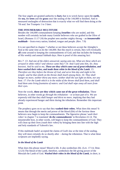The four angels are granted authority to *hurt,* that is to wreck havoc upon the **earth,** the **sea,** the **trees** and the **grass** once the sealing of the 144,000 is finished. And in measured onslaughts of destruction that is exactly what we will find them doing at the 7th seal. See Trumpets 1 to 3 later.

#### **THE INNUMERABLE MULTITUDE**

Besides the 144,000 commandment keeping *Israelites* who are sealed, and this number will certainly include many Gentile believers who are grafted in the Olive of Israel, (Romans  $11:17-24$ ) the prophet sees another mighty throng  $-$  an *innumerable*  $multitude - from every nation, kindred, tongue and people. (Rev. 7:9)$ 

It is not specified in chapter 7 whether or not these believers accept the Almighty's Seal at the same time as do the 144,000. But this much is certain, they will eventually **all** come around to keeping the commandments of God; and that includes the keeping of His weekly and annual Sabbath days. Here is proof of this amazing fact:

*Rev.7: 13: And one of the elders answered, saying unto me, What are these which are arrayed in white robes? and whence came they? 14: And I said unto him, Sir, thou knowest. And he said to me, These are they which came out of great tribulation, and have washed their robes, and made them white in the blood of the Lamb. 15: Therefore are they before the throne of God, and serve him day and night in his temple: and he that sitteth on the throne shall dwell among them. 16: They shall hunger no more, neither thirst any more; neither shall the sun light on them, nor any heat. 17: For the Lamb which is in the midst of the throne shall feed them, and shall lead them unto living fountains of waters: and God shall wipe away all tears from their eyes.*

Note the words, **these are they which came out of the great tribulation.** These believers, in other words go *through the tribulation* – or at least part of it. We are expressly told that they shall *hunger and thirst no more*, implying that they had already experienced hunger and thirst during the tribulation. Remember this important point.

The prophecy goes on to say that they **washed their robes.** What does this mean? It means that through the merits and power of the blood (life) of the Saviour these believers now begin to keep the commandments. The figurative phrase '*wash their robes'* in chapter 7 is translated *'do the commandments'* in Revelation 22.14. The innumerable host, in other words, will begin to keep the commandments of God. They will clean up their lives *(wash their robes)* by bringing them into line with the high and holy standards of Yahweh's law.

If this multitude hadn't accepted the claims of God's law at the time of the sealing, they will most certainly do so shortly after  $-$  during the tribulation. That is what these scriptures are impliedly saying.

#### *In the blood of the Lamb*

What does this phrase mean? Blood is life. It also symbolises life. (Lev. 17:14, Deut. 12:23) The blood of the Lamb, therefore, symbolises the life giving power of the Messiah the Lamb of God. *Washed their robes in the blood of the Lamb,* in short, is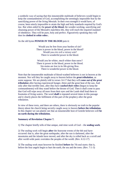a symbolic way of saying that this innumerable multitude of believers would begin to keep the commandments of God, accomplishing the seemingly impossible feat by the sanctifying power of the living Messiah. In their own strength it would have, of course, been utterly impossible to attain the high and holy standards required by God's law. But when aided by the *power of the blood,* the wonder-working, sanctifying and cleansing power of the Messiah's matchless life, they will reach the required standard of obedience. They will be pure, holy and perfect. Figuratively speaking they will then be *clothed in white robes .*

#### As the old hymn **POWER IN THE BLOOD** puts it:

Would you be free from your burden of sin? There is power in the blood, power in the blood? Would you o'er evil a victory win? There is wonderful power in the blood.

Would you be whiter, much whiter than snow? There is power in the blood, power in the blood. Sin stains are lost in its life-giving flow. There is wonderful power in the blood.

Note that the innumerable multitude of blood-washed believers is not in heaven at the moment. Nor will they be caught away to heaven before the *great tribulation*, as some suppose. We are plainly told in verses 14-17 that they will *come out of the great tribulation* after having experienced hunger, thirst and the great heat of the sun. And only after that terrible time, after they have *washed their robes* (begun to keep the commandments) will they stand before the throne of God. Then it shall come to pass that God will wipe away all tears from their eyes and the Lamb shall lead them to fountains of living waters. The word **shall** is repeated several times in this passage and it clearly places the fulfilment of this part of the prophecy after the great tribulation.

In view of these texts, and there are others, there is obviously no truth in the popular theory about the church being secretly caught away to heaven **before the tribulation.** In this chapter we can plainly see that an innumerable host of Gentile believers will **be on earth during the tribulation.**

#### **Summary of Revelation Chapter 7.**

1) The chapter briefly tells of that unique, end-time work of God the **sealing work**.

2) The sealing work will begin **after** the fearsome events of the 6th seal have occurred: that is, after the great earthquake, after the sun is darkened, after the mountains and the islands have moved, and after the sky is rolled back as a scroll and after world-wide panic overtakes the peoples of the world. (Rev. 6:12-17)

3) The sealing work must however be finished **before** the 7th seal starts: that is, before the four angels begin to hurt the earth, the sea and the trees. (Rev. 7:1-3)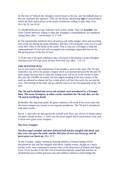4) The Seal of Yahweh the Almighty God of Israel is His law, and the Sabbath days in His law represent His signature. They are the divine, identifying **sign** of sanctification which the Holy Spirit places in the minds of believers willing to obey Him. (Eze. 20:12 & 20, Isa. 8:16)

5) 144,000 believers accept Yahweh's Seal in their minds. They are *Israelites*, but some Gentile believers willing to obey the Almighty's commandments are numbered among them. (Rev. 7 and Romans 11:17-24)

6) The innumerable multitude from all nations will suffer hunger, thirst and scorching heat of the sun during the great tribulation. But they will eventually come out of it and *wash their robes in the blood of the Lamb.* That is, they too will begin to keep the commandments of God and will accomplish this seemingly impossible feat by the life-giving power of the Son of God.

7) At the end of the great tribulation they will stand in the presence of the Almighty. And then God will wipe away all tears from their eye. (Rev. 7:13-17)

#### **THE SEVENTH SEAL**

Let us now return to the mainstream of the prophecy, back to the seals. The 7th seal, remember, has still to be opened. Chapter seven was inserted between the 6th and 7th seals simply because that is when the sealing work will occur in the stream of time. But once the 144,000 are sealed, the four angels standing at the four corners of the earth are allowed to release the four winds which will *hurt the earth, the sea and the trees*. The hurting of the earth, the sea and the trees is in fact the beginning of the 7th seal.

#### **The 7th seal is divided into seven sub-sections, each introduced by a Trumpet blast. The seven Trumpets, in other words, constitute the 7th seal; they are the 7th seal in terrifying detail.**

Remember this important point, for great confusion will result if the seven seals and the seven trumpets are treated as two separate prophecies. The 7th seal is introduced with these words:

*Rev.8: 1: And when he had opened the seventh seal, there was silence in heaven about the space of half an hour. 2: And I saw the seven angels which stood before God; and to them were given seven trumpets.*

#### **The First Trumpet**

#### *The first angel sounded, and there followed hail and fire mingled with blood, and they were cast upon the earth: and the third part of trees was burnt up, and all green grass was burnt up.* (Rev. 8:7)

At this Trumpet, mighty continents housing millions of human beings will be devastated by hail and fire mingled with blood. Similar scenes, though on a much smaller scale, were witnessed in ancient times at the destruction of Sodom and Egypt. (Gen. 19:24, Exodus 9:24) The God of Israel then literally rained hail and fire on mankind because of their grievous sins and stubborn refusal to acknowledge His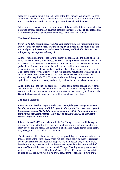authority. The same thing is due to happen at the 1st Trumpet. We are also told that one third of the world's forests and all the green grass will be burnt up. As foretold in Rev. 7. 1-3 the *four winds* are beginning to *hurt the earth and the trees.* 

What these events do to the agricultural output of the world is difficult to imagine: but it is quite obvious that this 1st Trumpet ushers in the terrible **Time of Trouble!** a time of international turmoil and terror unparalleled in the history of humanity.

#### **The Second Trumpet**

*Rev.8: 8: And the second angel sounded, and as it were a great mountain burning with fire was cast into the sea: and the third part of the sea became blood; 9: And the third part of the creatures which were in the sea, and had life, died; and the third part of the ships were destroyed.* 

At this Trumpet one third of the earth's oceans will congeal like the blood of a dead man. The sea, like the earth and trees before it, is being **hurt** as foretold in Rev. 7.1-3. All the traffic on the ocean/s involved will stop; and all the fish in those waters will perish. In addition to these immediate effects, there will be other awesome repercussions, such as freak weather conditions, lack of rain water, fresh air and oil. The oceans of the world, as any ecologist will confirm, regulate the weather and help purify the very air we breathe. So the death of even one ocean is a catastrophe of unimaginable magnitude. This Trumpet, in short, will disrupt the weather, the agricultural output, the economy and the physical welfare of the whole human race.

At about this time the sun will begin to scorch the earth, for the cooling effect of the oceans will have diminished and drought will become a world-wide problem. Hunger and thirst will then become as common in the West as they are today in the East. The **Great Tribulation** will have then entered its second terrifying stage.

#### **The Third Trumpet**

*Rev.8: 10: And the third angel sounded, and there fell a great star from heaven, burning as it were a lamp, and it fell upon the third part of the rivers, and upon the fountains of waters; 11: And the name of the star is called Wormwood: and the third part of the waters became wormwood; and many men died of the waters, because they were made bitter.*

Like the 1st and 2nd Trumpets before it, the 3rd Trumpet causes untold damage and distress on earth. A third of the rivers and fountains of water are now polluted and many people die as a result. The question is often asked, Could not the terms *earth, sea, trees, grass, ships* and *fish* be symbolic?

The Stewarton Bible School does not deny that possibility for it obviously does exist. Indeed, some of the terms (*trees, grass, fish* etc.) could easily be taken to represent people and scriptural texts found in support. The main reason why we favour the literal translation, however, and avoid references to people, is because *'a third of mankind'* is scheduled to die under the 6th Trumpet That frightening fact by itself, which is expressed twice in Revelation 9 verses 15 and 18, compels us towards the opinion of that the *hurting of a third of the sea, a third of the ships, a third of the*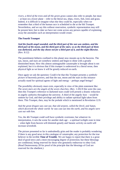*rivers, a third of the trees and all the green grass* cannot also refer to people, but must - at least on a lower plane – refer to the literal sea, ships, rivers, fish, trees and grass. Indeed, it is difficult to imagine what else they could be, especially when we remember that a third of the human race is scheduled to die at the 6th Trumpet. Nevertheless, and we say this without reservation, symbolic representation may still be present here; but to date we have not come across any person capable of explaining away the anomalies such an interpretation would create.

#### **The Fourth Trumpet**

*And the fourth angel sounded, and the third part of the sun was smitten, and the third part of the moon, and the third part of the stars; so as the third part of them was darkened, and the day shone not for a third part of it, and the night likewise.* (Rev. 8:12)

The punishment hitherto confined to this planet now mounts up to the heavens. The sun, moon, and stars are somehow smitten and begin to shine with a greatly diminished beam. How this almost unimaginable catastrophe is brought about is not explained, but it is obvious that if this trumpet is understood in a literal sense, then physical light as we know it will be greatly reduced on earth.

Once again we ask the question: Could it be that this Trumpet presents a *symbolic picture* of heavenly powers, and that the sun, moon and the stars in this instance actually stand for spiritual agents of light and energy – perhaps angel beings?

The possibility obviously must exist, especially in view of the plain statement like: *The seven stars are the angels of the seven churches.* (Rev. 1:20) If this were the case, then this Trumpet's reference to darkened stars could well present a drastic reduction in angelic authority throughout the universe. A third of the angelic host  $-$  would be smitten by God, and their privilege and ability to radiate spiritual light taken from them. This Trumpet, then, may be the prelude which is mentioned in Revelation 12:9.

*And the great dragon was cast out, that old serpent, called the Devil, and Satan, which deceiveth the whole world: he was cast out into the earth, and his angels were cast out with him.* 

Yes, the 4th Trumpet could well have symbolic overtones; but whatever its interpretation, it sets the scene for another dark age  $-$  a spiritual twilight zone in time - when light from heaven will diminish greatly and Satanic activity on earth will increase sevenfold.

The picture presented so far is undoubtedly grim and the reader is probably wondering if there is any good news in this catalogue of catastrophe; any protection for the true believer in the terrible **Time of Trouble**. We are happy to report that there is a great deal of good news and a most encouraging degree of protection; but these blessings are conditional, being reserved for those who genuinely endeavour to obey God. (Read Deuteronomy 28 for proof of the principle that the blessings of God are reserved for the obedient.)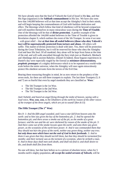We have already seen that the Seal of Yahweh the God of Israel is His **law**, and that His Sign (signature) is the **Sabbath commandment** in His law. We have also seen how that 144,000 believers will at that time accept the Almighty's Seal in their minds, and will begin keeping the commandments of God with faultless dedication and effect. The blessings which follow that kind of obedience will be beyond comparison and will manifest themselves in many miraculous ways during the **Time of Trouble**. One of the blessings will be that of **divine protection**. A perfect example of the protection afforded the 144,000 sealed believers in the Time of Trouble is given in Revelation chapter 9, which outlines the event of the 5th Trumpet. In verse 4 we note - with great relief - that **at that time all sealed believers (those who obey Yahweh's law) will be supernaturally protected from torture and abuse.** All others will suffer. This matter of divine protection is dealt with later. Yes, there will be protection during the Great Tribulation, but it will be reserved for those who obey the Almighty God and bear His Seal. Of all mankind, they alone will be kept from Satan at the time of the end, and will walk unscathed through the fiery trials just as Shadrach, Meshach and Abednego did in ancient Babylon. (Daniel 3) Indeed, those bygone experiences in Daniel's day were especially staged by the Eternal as *miniature demonstrations, prophetic prototypes* of a mighty deliverance which is to be repeated on a world-wide scale before the entire universe, when the Almighty will once again miraculously protect His obedient servants form the terrors of the Evil One.

Bearing these reassuring thoughts in mind, let us now return to the prophecy of the seven seals, for there are still three trumpets to explain. The last three Trumpets (5, 6 and 7) are so fearful that even by angel standards they are classified as *'Woes.'*

- The 5th Trumpet is the 1st Woe.
- The 6th Trumpet is the 2nd Woe.
- The 7th Trumpet is the 3rd Woe.

*And I beheld, and heard an angel flying through the midst of heaven, saying with a loud voice, Woe, woe, woe, to the inhabiters of the earth by reason of the other voices of the trumpet of the three angels, which are yet to sound!* (Rev.8:13)

### **The Fifth Trumpet (The 1st Woe)**

*Rev.9: 1: And the fifth angel sounded, and I saw a star fall from heaven unto the earth: and to him was given the key of the bottomless pit. 2: And he opened the bottomless pit; and there arose a smoke out of the pit, as the smoke of a great furnace; and the sun and the air were darkened by reason of the smoke of the pit. 3: And there came out of the smoke locusts upon the earth: and unto them was given power, as the scorpions of the earth have power. 4: And it was commanded them that they should not hurt the grass of the earth, neither any green thing, neither any tree; but only those men which have not the seal of God in their foreheads. 5: And to them it was given that they should not kill them, but that they should be tormented five months: and their torment was as the torment of a scorpion, when he striketh a man. 6: And in those days shall men seek death, and shall not find it; and shall desire to die, and death shall flee from them.*

No one will deny, but that here before us is a picture of absolute terror, when for 5 months earth's mighty population, *all except the sealed servants of Yahweh,* will be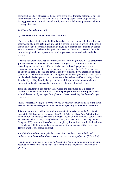tormented by a host of merciless beings who are to arise from the bottomless pit. For obvious reasons we will not dwell on this frightening aspect of the prophecy once having presented it. Instead, we will briefly answer the following questions and point to a way of escape.

#### *1) What is the bottomless pit?*

#### *2) And who are the beings that ascend out of it?*

The general lack of interest in the Revelation has over the years resulted in a dearth of information about the *bottomless pit*. But it is obviously a subject which all the world should know about; for is not mankind going to be tormented for 5 months by beings which come out of the bottomless pit? The answers to those two questions about the bottomless pit and it occupants are of vital importance, so let us closely study the matter.

The original Greek word *abussos* is translated in the Bible (in Rev. 9:1) as **bottomless pit.** Some Bible dictionaries render *abussos* as *'abyss.'* The word *abussos* means exceedingly deep gulf or pit. *Abussos* is also used in Luke's gospel where it is translated simply as *the deep.* In the incident recorded in Luke 8. 26-36 we are given an important clue as to what the **abyss** is and how frightened evil angels are of being sent there. If the reader will turn to Luke's gospel he will see (in verse 31) how certain devils who had taken possession of a man were themselves terrified of being ordered into the abyss. They literally begged the Messiah for permission to enter a herd of swine rather than be sentenced to the  $abusos -$  the exceedingly deep pit.

From this incident we can see that the *abussos*, the bottomless pit is a place or condition which evil angels dread; a kind of **spirit penitentiary** or **dungeon** which existed thousands of years ago. Strong's concordance describing the *'bottomless pit'*  says it is a:

#### *"pit of immeasurable depth, a very deep gulf or chasm in the lowest parts of the earth used as the common receptacle of the dead and especially as the abode of demons."*

It is from somewhere within that unlit dungeon that a myriad symbolic *locusts* will arise at the 5th Trumpet or 1st Woe. (Rev. 9:1-3) What are these *locusts* that torture mankind for five months? They are *evil angels*, devils of mind-bending depravity who were sentenced to the abyss long before the early Christian era. At this very moment (August 1998) they are still *chained* and completely immobilised within the blackness of the abyss, held there in total darkness awaiting the judgement of the Great Day. Here is proof of this astounding fact.

### *For if God spared not the angels that sinned, but cast them down to hell, and delivered them into chains of darkness, to be reserved unto judgment;* (2 Peter 2:4)

*And the angels which kept not their first estate, but left their own habitation, he hath reserved in everlasting chains under darkness unto the judgment of the great day.*  (Jude 6)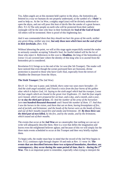Yes, fallen angels are at this moment held captive in the abyss, the *bottomless pit,*  fettered in a way we humans do not properly understand, so the symbol of a *'chain'* is used to help us. At the 1st Woe, a mighty angel (star) will be divinely authorised to open the abyss, and out will pour this host of devils like the smoke of a great furnace. (Rev. 9:1-5) The only people on earth who will be protected from their sadistic onslaught will be the ones who bear in their foreheads the **Seal of the God of Israel**. All others will be tormented. Here is proof of this frightening fact.

*And it was commanded them that they should not hurt the grass of the earth, neither any green thing, neither any tree; but only those men which have not the seal of God in their foreheads..*(Rev. 9:4)

Without labouring the point, we will at this stage again respectfully remind the reader to seriously consider accepting Yahweh's Seal, for fearful indeed will be the lot of those who reject it. References in this woe to **Abaddon**, the king of the bottomless pit (verse 11) are covered later where the identity of this king who is to ascend from the bottomless pit is considered.

Revelation 9:12 brings us to the end of the 1st woe (the 5th Trumpet). The reader will have noticed that even though the scenes portrayed here are fearsome, divine protection is assured to those who have God's Seal, especially from the terrors of Abaddon the Destroyer from the Abyss.

#### **The Sixth Trumpet** (The 2nd Woe)

*Rev.9: 12: One woe is past; and, behold, there come two woes more hereafter. 13: And the sixth angel sounded, and I heard a voice from the four horns of the golden altar which is before God, 14: Saying to the sixth angel which had the trumpet, Loose the four angels which are bound in the great river Euphrates. 15: And the four angels were loosed, which were prepared for an hour, and a day, and a month, and a year, for to slay the third part of men. 16: And the number of the army of the horsemen were two hundred thousand thousand: and I heard the number of them. 17: And thus I saw the horses in the vision, and them that sat on them, having breastplates of fire, and of jacinth, and brimstone: and the heads of the horses were as the heads of lions; and out of their mouths issued fire and smoke and brimstone. 18: By these three was the third part of men killed, by the fire, and by the smoke, and by the brimstone, which issued out of their mouths.*

The events that occur at the **2nd Woe** are so catastrophic that nothing we can say or write will adequately describe them. Here is a woe that defies the imagination and leaves even the enlightened believer aghast; and because of this we will simply list the three main events scheduled to occur at this Trumpet and then very briefly explain them.

To begin with, the reader must bear in mind that the record of the 2nd Woe begins in Rev. 9.12, continues right through chapter 10 and ends at Rev. 11 verse 14. **The events that are described between these two scriptural boundaries, therefore, are contemporary, they occur during the same period of time, that is - during the 2nd Woe.** This is an important point to remember, especially when trying to interpret the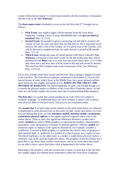events of Revelation chapter 11, which deals initially with the overthrow of Jerusalem and the work of the *Two Witnesses.* 

The **three main events** scheduled to occur at the 2nd Woe (the 6<sup>th</sup> Trumpet) are as follows:

- **First Event:** four mighty angels will be released from the Great River Euphrates. Leading a force of some 200,000,000 they will *slay one third of mankind!* (Rev. 9:13-15)
- **Second Event:** the prophet is given a measuring rod and told to *measure the Temple of God, the altar and them that worship therein*. He is instructed not to measure the outer court of the Temple, for it is given over to the Gentiles, who will be allowed to trample the *holy city under foot for a period of 42 months.* (Rev. 11:1-2)
- **Third Event:** during this same 42 month period (1260 days) Yahweh's *Two Witnesses* will preach to the entire world. At the end of that time they will be murdered by the **Beast** who is to arise from out of the Abyss (Rev. 11:3-7) But after three and a half days they will be raised to life and will ascend to heaven. The 2nd Woe (6th Trumpet) ends at the resurrection of the Two Witnesses (Rev. 11:8-14)

Let us now consider these three events and discover what is going to happen on earth at the 2nd Woe. The Great River Euphrates mentioned in Revelation 9: 14 is not the natural stream of water which flows in the Middle East, but a great spiritual outflow upon which sits that mighty metropolis of evil, **BABYLON THE GREAT, THE MOTHER OF HARLOTS!** The literal Euphrates on earth, real enough though it is, is merely the physical replica or shadow of the *Great River Euphrates* above. At this point we will briefly explain the second, vital clue to understanding Bible prophecy.

**The first clue** is to realise that certain prophecies in God's Word are written in symbolic language. To understand them one must *compare scripture with scripture and allow the Bible to interpret itself.* This process was explained earlier.

The **second clue** is to know that certain realities in the spirit realm above are reflected or duplicated in some physical way on this earth. In other words, here below, in a very real and measurable form, we find *miniature models, transient earthly counterparts, scaled-down physical replicas* of the mighty spiritual originals which exist in the realms above. There is, then, this significant difference between a symbol and a model. *Symbols* are used in Bible prophecy to represent the qualities, characteristics, procedures, work and purposes of human or spiritual agencies. Whereas *models* are miniature copies or replicas of the agencies themselves. For example, consider a candlestick. It is used in Bible prophecy to *symbolise* the church's duty or purpose to shed spiritual light. A candlestick is a *symbol* of a church group, not a replica of one. The literal Euphrates, on the other hand, is a model, a scaled-down *physical replica, a miniature copy of the spiritual Euphrates above.* The prophecy of the Revelation has a great deal to say about these *earthly counterparts;* and as we study them here below we are able to learn a great deal about what is happening in the realms above.

Returning to the prophecy with this second clue in mind, we find that at the 2nd Woe four mighty angels are released from somewhere within the Great River Euphrates.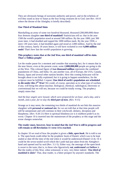They are obviously beings of awesome authority and power, and in the echelons of evil they stand as near to Satan as the four living creatures do to God. (see Rev. 4:6-8 where the throne of the Almighty is briefly described)

#### **One Third of Mankind Slain**

Marshalling an army of some *two hundred thousand, thousand* (200,000,000) these four demons slaughter **one third of mankind!** Statisticians tell us: that in the year 1500 the world's population stood at around 500 million. By the year 1800, just 300 years later, it had doubled and topped the 1000 million mark. By the year 1930, a mere 130 years later, it had doubled again and stood at 2,000 million. And by the end of this century, barely 18 years hence, it will have rocketed to over **6,000 million souls!** That's how fast the world's population is growing.

#### **This prophecy states that at the 2nd Woe, one third of mankind will be slain. That's 2 billion people!**

Let the reader pause for a moment and consider that stunning fact; for it means that in the near future, even at the present count, some **2,000,000,000** people are going to die at this Woe. This colossal figure of **two thousand million** represents the combined populations of China, and India. Or, put another way, all of Europe, the USA, Canada, Russia, Japan and several other nations besides. How this coming holocaust will be brought about is not fully explained; but it is going to happen nonetheless, for the scripture must be fulfilled. I repeat: **One third of earth's population are scheduled to die under this 2nd Woe!** We could, of course, speculate as to what type of warfare, if any, will bring this about (nuclear, biological, chemical, radiological, electronic or conventional) but we will not, because we could be totally wrong. The prophecy simply states that:

#### *And the four angels were loosed, which were prepared for an hour, and a day, and a month, and a year, for to slay the third part of men.* (Rev. 9:15)

Strange as it may seem, the remaining two thirds of mankind do not link this massive slaughter with *personal or national sin:* for we are told that at that time people will still be unrepentant and will continue in their witchcraft, idolatry, deception and blasphemy. (Rev. 9:20-21) Here is spiritual blindness (or is it stubborn pride?) as its worst. Chapter 10 is inserted into the mainstream of the prophecy at this stage and the scene changes somewhat.

#### **The reader must, however, bear in mind that the 2nd Woe is still in progress and will remain so till Revelation 11 verse 14 is reached.**

In chapter 10 we read of how the prophet is given a *little, open book*. He is told to eat it. The open book could either be the prophetic book of Daniel, which was to be kept sealed or shut till the time of the end when it would be understood (Daniel 12:4). Or it could be the seven-sealed scroll which the Lamb had just taken from the Almighty's hand and opened seal by seal (Rev. 5:1-5). Either way, the message of the open book is sweet to the taste; that is, to those who figuratively *eat, understand* and *believe* it. But the reality of this Woe, when witnessed, is very, very bitter indeed. *'One third of mankind is slain!'* That, dear reader, is a bitter prospect by anyone's standards. The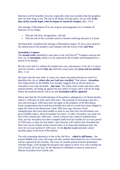bitterness will be bearable, however, especially when one considers that the prophecy does not have long to run. The end of all things will take place, we are told, *in the days of the seventh angel, when he begins to sound his trumpet.* (Rev. 10:7)

The message of Revelation 10 is one of great encouragement, for it reminds all believers of two things:

- That the 2nd Woe, though bitter, will end.
- That the end of this wretched system of human suffering and pain is at hand.

Having briefly considered the message of Revelation chapter 10, let us now return to the mainstream of the prophecy and continue with the events of the **2nd Woe.** 

#### **Jerusalem's Capture**

The **second event** scheduled to take place at the 2nd Woe  $(6<sup>th</sup> Trumpet)$  concerns the holy city of **Jerusalem,** which is to be captured by the Gentiles and dominated for a period of 42 months.

*But the court which is without the temple leave out, and measure it not; for it is given unto the Gentiles: and the holy city shall they tread under foot forty and two months.* (Rev. 11:2)

We know that the term *'holy'* or *'great city'* means Jerusalem because in verse 8 it identifies this city as *'where also our Lord was crucified.'* That means - *Jerusalem.* The rising tension in the Middle East strongly suggests that an all-out attack on Jerusalem is not only inevitable **but near.** The whole Arab world, and many other nations besides, are lining up against the tiny nation of Israel, and it will not be long before the predicted attack will occur and **Jerusalem will be captured.**

Please note that the 42 month duration of Jerusalem's subjugation is 42 literal months, which is 1260 days or three and a half years. The principle of reckoning a day for a year and arriving at 1260 years does not apply in the prophecy of the Revelation. Some commentators have used that principle here and as a result have been obliged to begin this Woe in the distant past, some 1260 years ago. Because of this misapplication they have been unable to point to any time since the Revelation was given (AD96) when a *'third of mankind was slain*,' or when *'Jerusalem was under the heel of the Gentiles for 1260 years.'* Never in history has a third of mankind been slain; nor has Jerusalem ever been trampled under foot by Gentiles for an exact period of 1260 years, or days for that matter. Any historian will confirm that Jerusalem has been over-run by Gentile armies several times in its long and tumultuous past, but never for an exact period of 1260 years. So the *day for a year* principle cannot possibly apply in the book of Revelation.

The only remaining alternative is that at the 2nd Woe  $-$ **which is still future**  $-$  the present Middle East crisis will erupt and after another blood-bath the city of Jerusalem will be captured by the Gentiles. The exact 42 months period of brutal domination will then begin. Grim though this prospect may appear to those of us who worship the God of Israel, all is not lost, for the Messiah is scheduled to return to earth and to liberate Jerusalem from Gentile rule.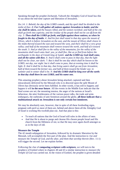Speaking through the prophet Zechariah, Yahweh the Almighty God of Israel has this to say about the end-time capture and liberation of Jerusalem.

*Zec.14: 1: Behold, the day of the LORD cometh, and thy spoil shall be divided in the midst of thee. 2: For I will gather all nations against Jerusalem to battle; and the city shall be taken, and the houses rifled, and the women ravished; and half of the city shall go forth into captivity, and the residue of the people shall not be cut off from the city. 3: Then shall the LORD go forth, and fight against those nations, as when he fought in the day of battle. 4: And his feet shall stand in that day upon the mount of Olives, which is before Jerusalem on the east, and the mount of Olives shall cleave in the midst thereof toward the east and toward the west, and there shall be a very great valley; and half of the mountain shall remove toward the north, and half of it toward the south. 5: And ye shall flee to the valley of the mountains; for the valley of the mountains shall reach unto Azal: yea, ye shall flee, like as ye fled from before the earthquake in the days of Uzziah king of Judah: and the LORD my God shall come, and all the saints with thee. 6: And it shall come to pass in that day, that the light shall not be clear, nor dark: 7: But it shall be one day which shall be known to the LORD, not day, nor night: but it shall come to pass, that at evening time it shall be light. 8: And it shall be in that day, that living waters shall go out from Jerusalem; half of them toward the former sea, and half of them toward the hinder sea: in summer and in winter shall it be. 9: And the LORD shall be king over all the earth: in that day shall there be one LORD, and his name one.*

This amazing prophecy about Jerusalem being attacked, captured and then miraculously delivered by the Messiah who is to descend upon the split Mount of Olives has obviously never been fulfilled. In other words, it has still to happen; and happen it will **in the near future**. All the events in the Middle East indicate that the final scenes are set; the mounting tension, the anger of the nations at Israel's behaviour, the utter fruitlessness of the various peace talks, the trade and arms embargoes, the outbreaks of anti-Semitism around the globe, **all these indicate that a multinational attack on Jerusalem is not only certain but imminent.**

We may be absolutely sure, however, that in spite of all these foreboding signs, pregnant with peril as most of them are, behind and above them all the Almighty God of Israel is working His twofold plan out. And that plan is this:

- To teach all nations that the God of Israel still rules in the affairs of men.
- And that He is about to purge and cleanse His chosen people Israel and His church from the filthiness of sin; so that He may once again dwell amongst us as in the days of old.

#### **Measure the Temple**

The 42 month subjugation of Jerusalem, followed by its dramatic liberation by the Messiah, will accomplish the first part of the plan. And the instruction to *rise and measure the Temple of God, and the altar, and them that worship therein* (Rev. 11:1) will trigger the second. Let me explain further.

Following the clue of **comparing scripture with scripture,** we will turn to the prophecy of Ezekiel where in chapters 40 and 43 a similar instruction to *measure the Temple of God* was carried out. In the vision of Ezekiel, the prophet is given detailed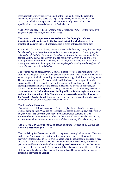measurements of every conceivable part of the temple: the wall, the gates, the chambers, the pillars and posts, the steps, the galleries, the courts and even the territory on which the temple stood. All were accurately measured and the specifications cover several chapters of Ezekiel's book.

*"And why."* you may well ask, *"was the temple measured? What was the Almighty's purpose in ordering that painstaking exercise?"* 

The answer is, **the temple was measured so that God's people could see, investigate and learn to live by the laws and principles which govern true worship of Yahweh the God of Israel.** Here is proof of this astonishing fact.

*Ezekiel 43: 10: Thou son of man, shew the house to the house of Israel, that they may be ashamed of their iniquities: and let them measure the pattern. 11: And if they be ashamed of all that they have done, shew them the form of the house, and the fashion thereof, and the goings out thereof, and the comings in thereof, and all the forms thereof, and all the ordinances thereof, and all the forms thereof, and all the laws thereof: and write it in their sight, that they may keep the whole form thereof, and all the ordinances thereof, and do them.* 

The order to *rise and measure the Temple*, in other words, is the Almighty's way of drawing His people's attention to the principles and laws of the Temple in Heaven: the sacred original of which the earthly temple was but a copy. And this is precisely what He aims to do during the 2nd Woe, while a third of earth's mighty population is perishing. He will then open the eyes of the innumerable multitude of believers to the eternal principles and laws of the Temple in Heaven, its layout, its structure, its services and **its divine purpose**. And many believers who had previously rejected the commandments of **God at the time of Sealing will at this Woe begin to understand and obey the regulations of the Temple which governs the worship of Yahweh the Almighty God of Israel.** They will then repent of their sins and begin to keep the commandments of God in accordance with His will.

#### **The Ark of the Covenant**

Towards the end of Revelation chapter 11 the prophet John tells of the heavenly Temple being opened. What did he see inside that sacred place? He saw, believe it or not, the *Ark of the Covenant,* the heavenly original which contains the *Ten Commandments*. Please note that John saw this some 60 years after the resurrection, so the commandments were not cancelled at Calvary as many Christians suppose.

#### *And the Temple of God was opened in heaven and there was seen in his Temple the Ark of his Testament.* (Rev. 11:19)

Yes, the *Ark of the Testament,* in which is deposited the original version of Yahweh's perfect law, (the eternal constitution of the mighty universe) is still within the heavenly Temple and John saw it over 60 years after the resurrection. The reader may be sure that at the 2nd Woe, when the Temple in heaven is **measured,** those same principles and laws enshrined within the *Ark of the Covenant* will arouse the interest of believers all over the world. Then many will be ashamed of their hitherto rebellious attitude towards Jehovah's laws and will begin to keep His commandments just as He directed in the vision of Ezekiel.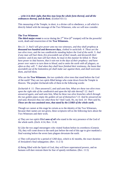#### *… write it in their sight, that they may keep the whole form thereof, and all the ordinances thereof, and do them.* (Ezekiel 43:11)

This measuring of the Temple, in short, is a divine call to obedience, a call which is directly linked with the message of the Two Witnesses, who we will now consider.

#### **The Two Witnesses**

**The third major event** to occur during the  $2<sup>nd</sup>$  Woe ( $6<sup>th</sup>$  trumpet) will be the powerful work, death and resurrection of the **Two Witnesses.** 

*Rev.11: 3: And I will give power unto my two witnesses, and they shall prophesy a thousand two hundred and threescore days, clothed in sackcloth. 4: These are the two olive trees, and the two candlesticks standing before the God of the earth. 5: And if any man will hurt them, fire proceedeth out of their mouth, and devoureth their enemies: and if any man will hurt them, he must in this manner be killed. 6: These have power to shut heaven, that it rain not in the days of their prophecy: and have power over waters to turn them to blood, and to smite the earth with all plagues, as often as they will. 7: And when they shall have finished their testimony, the beast that ascendeth out of the bottomless pit shall make war against them, and shall overcome them, and kill them.* 

Who are the **Two Witnesses**, the two symbolic olive trees that stand before the God of the earth? They are two spirit-filled beings who come down from the Temple in Heaven. The prophet Zechariah tells of them in the following words:

*Zechariah 4: 11: Then answered I, and said unto him, What are these two olive trees upon the right side of the candlestick and upon the left side thereof? 12: And I answered again, and said unto him, What be these two olive branches which through the two golden pipes empty the golden oil out of themselves? 13: And he answered me and said, Knowest thou not what these be? And I said, No, my lord. 14: Then said he, These are the two anointed ones, that stand by the LORD of the whole earth.*

Though we cannot at this stage be certain as to the identity of the Two Witnesses, because their names are not given, these scriptures tell us the following facts about the Two Witnesses and their work.

a) They are two spirit-filled *sons of oil* who stand in the very presence of the God of the whole earth. (Zech. 4:14, Rev. 11:4)

b) Like the two angel messengers who visited Sodom before its overthrow (Genesis 19), they will come down to the earth just before the end of this age to give mankind a final warning before the seven lasts plagues devastate the earth.

c) They will preach for a period of 1260 days, which is 42 months, the exact duration of Jerusalem's final subjugation. (Rev. 11:2-3)

d) Being filled with the Spirit of God, they will have supernatural powers, and no humans will dare restrain them for fear of speedy retribution. (Rev. 11:5)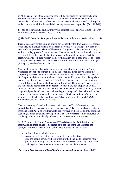e) At the end of the 42 month period they will be murdered by the Beast who rose from the bottomless pit at the 1st Woe. Their bodies will then be exhibited in the occupied city of *Jerusalem, where the Lord was crucified*, and the world will rejoice at their apparent end; for they and their message were most unpopular. (Rev. 11:7-10)

f) Then after three and a half days they will be raised to life and will ascend to heaven in full view of their enemies. (Rev. 11:11-13)

g) The 2nd Woe or 6th Trumpet will end at the time of their resurrection. (Rev. 11:14)

It is not necessary at this point in time to further identify the Two Witnesses, because when they do eventually arrive on the earth the whole world will speedily become aware of their presence. There will be no mistaking them or the absolute authority with which they preach. Even in the city of Jerusalem, which at the time will be under the Gentile heel, they will declare the message of God with awesome effect. No earthly authority will dare restrain them, for like Elijah of old they are able to reduce their opponents to ashes; and like Moses and Aaron, can cause all manner of plagues. (2 Kings 1, Exodus chapters 7 to 12)

Many and varied have been the claims and interpretations concerning the Two Witnesses, but not one of them meets all the conditions listed above. Nor is that surprising, for these two divine messengers can only appear on the world's scene at God's appointed time, which is when a third of the world's population is being slain and the city of Jerusalem is under the Gentile heel. When they do arrive, however, they will bring to all mankind a final appeal from God. Their message will be, in fact, the same call to **repentance and obedience** which every true prophet of God has delivered since the days of Enoch. Multitudes of believers from every nation, kindred tongue and people will heed their call and begin to obey God's law. This will be the time when the innumerable multitude (see page 12) will *wash their robes* and come into line with the eternal principles of God's law which is within the *Ark of the Covenant* inside the Temple of Heaven.

The vast majority of mankind, however, will reject the Two Witnesses and their powerful call to repentance, faith and obedience. Why? Because at about that time the most diabolical Agent of Evil this world has ever seen will be parading the earth and seducing its inhabitants into serving Satan. The Two Witnesses will be murdered by this being, who is symbolically referred to in the Revelation as the **Beast.**

See SBS articles the **Two Witnesses** and **Who/What is the Antichrist** for more information on these beings. This brings us to the end of the 6th Trumpet, the terrifying 2nd Woe, when within a short space of three and a half years:

- A third of mankind will be slain.
- Jerusalem will be captured and dominated by the Gentiles.
- And the people of God will be purged, purified and made obedient by the power of the living Messiah, whose Two Witnesses will testify before men and angels of the sacred requirements of the Temple in Heaven.

*The second Woe is past; and behold a third woe cometh quickly.* (Rev. . 11:14)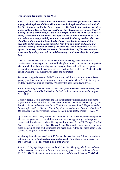#### **The Seventh Trumpet (The 3rd Woe)**

*Rev.11: 15: And the seventh angel sounded; and there were great voices in heaven, saying, The kingdoms of this world are become the kingdoms of our Lord, and of his Christ; and he shall reign for ever and ever. 16: And the four and twenty elders, which sat before God on their seats, fell upon their faces, and worshipped God, 17: Saying, We give thee thanks, O Lord God Almighty, which art, and wast, and art to come; because thou hast taken to thee thy great power, and hast reigned. 18: And the nations were angry, and thy wrath is come, and the time of the dead, that they should be judged, and that thou shouldest give reward unto thy servants the prophets, and to the saints, and them that fear thy name, small and great; and shouldest destroy them which destroy the earth. 19: And the temple of God was opened in heaven, and there was seen in his temple the ark of his testament: and there were lightnings, and voices, and thunderings, and an earthquake, and great hail.* 

The 7th Trumpet brings us to the climax of human history, when another massconfrontation between good and evil will take place. It will commence with a spiritual *election* which will test the allegiance of every soul on earth; will then progress through the unimaginable terrors of the seven last plagues (called the **Wrath of God**) and end with the total overthrow of Satan and his system.

Fearsome though the events of this Trumpet are, and this is why it is called a **Woe,** great joy will overwhelm the heavenly host at its sounding (Rev. 11:15), for only then will the *mystery of God* be finished. We know this from the following verse.

*But in the days of the voice of the seventh angel, when he shall begin to sound, the mystery of God should be finished, as he hath declared to his servants the prophets.* (Rev. 10:7)

To most people God is a mystery and His involvement with mankind is even more mysterious than His invisible presence. How often have we heard people say: *"If God is a God of love and is all-powerful as He claims to be, why doesn't He put an end to human suffering?"* Or *"What is God doing about the rising tide of crime? Why doesn't He use His power to prevent sickness, sorrow, pain and death? Doesn't He care?"* 

Questions like these, many of them awash with tears, are repeatedly voiced by people all over the globe. And, as conditions worsen, the same apparently cruel response comes back from heaven  $-$  a bewildering, deathly silence. At the 7th Trumpet (the 3rd Woe) that silence will be broken. The *mystery of God,* hidden from most of humanity since the dawn of time, will be finished and made plain. All the questions about God's strange dealings will then be answered.

Analysing the main events of the 3rd Woe we discover that they fall into three distinct categories involving **authority, anger and reward.** These three are summarised in the following words. The words in bold type are ours.

*Rev. 11:17: Saying, We give thee thanks, O Lord God Almighty, which art, and wast, and art to come; because thou hast taken to thee thy great power, and hast reigned. (AUTHORITY) 18: And the nations were angry, and thy wrath is come (ANGER)*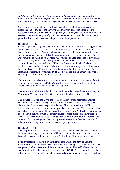*and the time of the dead, that they should be judged, and that thou shouldest give reward unto thy servants the prophets, and to the saints, and them that fear thy name, small and great; and shouldest destroy them which destroy the earth. (REWARD)*

Most of the remaining chapters in Revelation tell of the final scenes on earth just before the end of this age, and in varying degrees they deal with either a call to recognise **Yahweh's authority,** the outpouring of His **anger** or the distribution of His **rewards.** Let us now very briefly consider these chapters. It would obviously help a great deal if the reader read each chapter before the explanation.

#### **REVELATION 12**

In this chapter we are given a symbolic overview of Satan's age-old revolt against the authority of God, a revolt which began in the distant past but still manifests itself in hatred for the people of Zion, the Messiah of Israel and all commandment-keeping believers down to this present day. In vision the prophet is shown a *'woman clothed with the sun and standing on the moon.'* A symbolic **dragon** then tries to devour her child at its birth, but the boy is caught up to God and to His throne. The dragon then turns on the woman in an effort to kill her, but she is miraculously lifted out of his reach and taken to the wilderness, where she is nourished for a period of three and a half years (verses 13-14). In a fit of fury the dragon then turns on the woman's remaining offspring, the *'remnant of her seed,'* who are still in human society and who keep the commandments of God (verse 17).

The *woman* in this vision, who is seen standing on the moon, represents the *ekklesia*  of Yahweh, the spiritually *called out ones,* the *'wife'* or church of the Almighty, whose faithful members make up the *Israel of God.*

The *'man-child'* who is to rule all nations with the rod of iron (absolute authority) is **Yeshua** the Messiah (Jesus Christ), the only begotten Son of the living God.

The **'dragon'** is Satan the Devil, the leader of the revolution against the Eternal. During this Woe, the Almighty will miraculously protect his spiritual *'wife'*, the church, from Satan's wrath, especially those of Zion who are clothed in His righteousness and who take their stand upon the requirements of His calendar  $-$  which is symbolised by the moon. If you would like to know about **Yahweh's Calendar** and of His sacred festivals which are directly linked to these prophecies in Revelation, write for our **free** booklet entitled **The Sacred Calendar of the God of Israel.** The booklet will introduce you to the amazing **time-element** in Yahweh's schedule of salvation, something so few believers know anything about.

#### **REVELATION 13**

This chapter is a forecast of the strangest spiritual *election* ever to be staged in the history of humanity. The *electorate* will be the citizens of every nation and the main issue will concern obedience to the law of Yahweh the Almighty God of Israel.

Satan's visible representative on earth at the time will be the *Man of Sin*, the *Antichrist*, the coming **World Dictator.** He will be a being of commanding presence and power, and will exercise all the authority of the Devil himself. The Man of Sin is symbolically referred to in the Revelation as **the BEAST!** According to the prophet John, the Beast is scheduled to make a **personal appearance** on earth at this Seal, and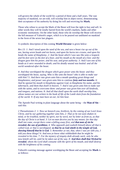will govern the whole of the world for a period of three and a half years. The vast majority of mankind, we are told, will worship him in abject terror, demonstrating their acceptance of his authority by doing his will and receiving his **Mark.**

Those who refuse to accept the Mark of the Beast will lose the right to buy and sell. In other words they will be totally barred from the world's markets, banks and other economic institutions. On the other hand, those who do worship the Beast will receive the full measure of Yahweh's anger, which is to be poured out undiluted on mankind in the form of the seven last plagues.

A symbolic description of this coming **World Dictator** is given below:

*Rev.13: 1: And I stood upon the sand of the sea, and saw a beast rise up out of the sea, having seven heads and ten horns, and upon his horns ten crowns, and upon his heads the name of blasphemy. 2: And the beast which I saw was like unto a leopard, and his feet were as the feet of a bear, and his mouth as the mouth of a lion: and the dragon gave him his power, and his seat, and great authority. 3: And I saw one of his heads as it were wounded to death; and his deadly wound was healed: and all the world wondered after the beast.*

*4: And they worshipped the dragon which gave power unto the beast: and they worshipped the beast, saying, Who is like unto the beast? who is able to make war with him? 5: And there was given unto him a mouth speaking great things and blasphemies; and power was given unto him to continue forty and two months. 6: And he opened his mouth in blasphemy against God, to blaspheme his name, and his tabernacle, and them that dwell in heaven. 7: And it was given unto him to make war with the saints, and to overcome them: and power was given him over all kindreds, and tongues, and nations. 8: And all that dwell upon the earth shall worship him, whose names are not written in the book of life of the Lamb slain from the foundation of the world. 9: If any man have an ear, let him hear.*

The Apostle Paul writing in plain language about the same being  $-$  the **Man of Sin**  $$ said this:

*2 Thessalonians 2: 1: Now we beseech you, brethren, by the coming of our Lord Jesus Christ, and by our gathering together unto him, 2: That ye be not soon shaken in mind, or be troubled, neither by spirit, nor by word, nor by letter as from us, as that the day of Christ is at hand. 3: Let no man deceive you by any means: for that day shall not come, except there come a falling away first, and that man of sin be revealed, the son of perdition; 4: Who opposeth and exalteth himself above all that is called God, or that is worshipped; so that he as God sitteth in the temple of God, shewing himself that he is God. 5: Remember ye not, that, when I was yet with you, I told you these things? 6: And now ye know what withholdeth that he might be revealed in his time. 7: For the mystery of iniquity doth already work: only he who now letteth will let, until he be taken out of the way. 8: And then shall that Wicked be revealed, whom the Lord shall consume with the spirit of his mouth, and shall destroy with the brightness of his coming.* 

Yahweh's warning message against worshipping the Beast and accepting his **Mark** is as follows: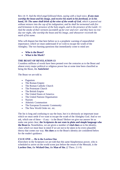Rev.14: *9: And the third angel followed them, saying with a loud voice, If any man worship the beast and his image, and receive his mark in his forehead, or in his hand, 10: The same shall drink of the wine of the wrath of God, which is poured out without mixture into the cup of his indignation; and he shall be tormented with fire and brimstone in the presence of the holy angels, and in the presence of the Lamb: 11: And the smoke of their torment ascendeth up for ever and ever: and they have no rest day nor night, who worship the beast and his image, and whosoever receiveth the mark of his name.* 

Who will dispute but that here before us is a prophetic warning of unparalleled importance; which we must understand if we wish to escape the wrath of the Almighty. The two burning questions that immediately come to mind are:

- **Who is the Beast?**
- **What is his Mark?**

#### **THE BEAST OF REVELATION 13**

Countless millions of words have been penned over the centuries as to the Beast and almost every major political or religious power has at some time been classified as being the Beast, the **Antichrist!**

The Beast we are told is:

- Paganism
- The Roman Empire
- The Roman Catholic Church<br>• The Protestant Church
- The Protestant Church
- The British Empire
- The United States of America
- The United Nations Organisation
- Nazism
- Atheistic Communism
- The European Economic Community
- The New World Order etc. etc.

The list is long and confusing to say the least, but it is obviously an important issue which we must settle if we want to escape the wrath of the Almighty God. And so we ask, which one of these  $-$  if any  $-$  is the Beast? Before we give our answer let us make one point clear; **the Scriptures do not state in plain and simple language who the Beast is.** Nonetheless, we are given a number of **vital clues** as to his identity, clues which we must bear in mind if we are not to be taken in by every plausible theory that comes our way. **Six clues** as to the Beast's identity are considered below for the reader's guidance.

#### **CLUE ONE … He is the Lawless One**

Elsewhere in the Scriptures we are told that this same blasphemous power, who is scheduled to arrive on the world scene just before the return of the Messiah, is the **Lawless One,** the **Wicked One,** the **Man of Sin.** (2 Thess. 2:1-9)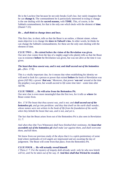He is the Lawless One because he not only breaks God's law, but vainly imagines that he can **change it.** The commandment he is particularly interested in trying to change is the one dealing with the **sacred seasons,** with **TIME.** This, of course, is the Sabbath commandment; for that is the only one which deals with the element of **time**. (Daniel 7:25)

#### *He ... shall think to change times and laws.*

This first clue, in short, tells us that the Beast is an outlaw, a blatant sinner, whose main objective is to change the *times in Yahweh's law.* In other words, he thinks he can change the Sabbath commandments; for these are the only ones dealing with the element of time.

#### **CLUE TWO … He existed before the vision of the Revelation was given.**

Our next clue comes from the lips of a mighty angel who plainly tells us that the Beast was in existence **before** the Revelation was given, but was not alive at the time it was given.

#### *The beast that thou sawest was, and is not; and shall ascend out of the bottomless pit…*(Rev. 17:8)

This is a vitally important clue, for it means that when establishing his identity we will need to look for a person or power that existed **before** the book of Revelation was given (AD 96): a power *'that was.'* Moreover, that power *'was not'* around at the time the prophecy was given, but would *ascend to life some time later -* some time after AD 96.

### **CLUE THREE … He will arise from the Bottomless Pit.**

Our next clue is even more meaningful than the first two, for it tells us **where** the Beast comes from.

*Rev. 17:8 The beast that thou sawest was, and is not; and shall ascend out of the bottomless pit, and go into perdition: and they that dwell on the earth shall wonder, whose names were not written in the book of life from the foundation of the world, when they behold the beast that was, and is not, and yet is.*

The fact that the Beast arises from out of the Bottomless Pit is also seen in Revelation 11: *7:* 

*And when they* (the Two Witnesses) *shall have finished their testimony, the beast that ascendeth out of the bottomless pit shall make war against them, and shall overcome them, and kill them.* 

We know from our previous study of the abyss that it is a spirit-penitentiary of some kind where multitudes of evil angels are imprisoned and are awaiting the day of judgement. The Beast will come from that place, from the Bottomless Pit.

### **CLUE FOUR … He will actually reveal himself.**

*2 Thess.2: 7: For the mystery of iniquity doth already work: only he who now letteth will let, until he be taken out of the way. 8: And then shall that Wicked be revealed,*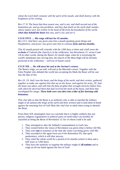*whom the Lord shall consume with the spirit of his mouth, and shall destroy with the brightness of his coming.*

*Rev.17: 8: The beast that thou sawest was, and is not; and shall ascend out of the bottomless pit, and go into perdition: and they that dwell on the earth shall wonder, whose names were not written in the book of life from the foundation of the world, when they behold the beast that was, and is not, and yet is.* 

#### **CLUE FIVE … His reign will last for 42 months.**

*Rev.13:5: And there was given unto him a mouth speaking great things and blasphemies; and power was given unto him to continue forty and two months.*

This 42 month period will coincide with the 1260 days or three and a half years the *ecclesia* of Yahweh (the church) is in the wilderness. See Revelation 12: verses 6 and 14) In other words, during the Beast's 42 month reign, when he is terrorising the world's inhabitants into serving him, the church of the Most High will be divinely protected in the wilderness – well out of Satan's reach.

#### **CLUE SIX … He will meet his end at the Saviour's return.**

The Beast's reign, we are told, will end at the Messiah's return. Together with the False Prophet who deluded the world into accepting his Mark the Beast will be cast into the lake of fire.

*Rev.19: 19: And I saw the beast, and the kings of the earth, and their armies, gathered together to make war against him that sat on the horse, and against his army. 20: And the beast was taken, and with him the false prophet that wrought miracles before him, with which he deceived them that had received the mark of the beast, and them that worshipped his image. These both were cast alive into a lake of fire burning with brimstone.*

This clue tells us that the Beast is an authority who is able to marshal the military might of all nations (*the kings of the earth and their armies)* and to lead them in battle against the returning Son of God! Bear this vital clue in mind when trying to identify the Beast.

From these SIX meaningful clues we conclude that it is highly unlikely that any person, religious organisation or political party on earth today can sensibly be classified as being the Beast of Revelation 13; for of whom could it be said:

- 1. They attempted to alter the Sabbath Commandment in God's law.
- 2. They existed before the vision of Revelation was given (that is before AD 96).
- 3. They were **not** in existence at the time the vision was being given. (AD 96)
- 4. They ascended to life again from out of the Bottomless Pit, that spirit penitentiary, which is still shut anyway.
- 5. They ruled the whole world for a period of 42 months (which is three and a half years or 1260 days)
- 6. They have the authority to organise the military might of **all nations** and to wage an all-out battle against the Son of God!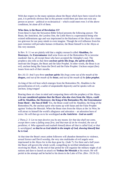With due respect to the many opinions about the Beast which have been voiced in the past, it is perfectly obvious that in this present world there just does not exist any person or power  $-$  political or ecclesiastical  $-$  which could meet even 3 of the above conditions, let alone all 6 of them.

#### **Who then, is the Beast of Revelation 13?**

From these 6 clues the Stewarton Bible School presents the following answer. The Beast, the Antichrist, the Lawless One, the Little Horn is a supernatural being who existed millenniums ago and was imprisoned in the blackness of the Abyss for crimes too grievous for our puny minds to even imagine. Though the evil influence from his past existence still pervades human civilisation, the Beast himself is in the Abyss at this very moment.

In Rev. 9: 11 we are plainly told that a mighty monarch called **Abaddon,** the **Destroyer,** the **Exterminator** shall arise from out of the Bottomless Pit to terrorise mankind: that is, all except those who have accepted the Almighty's seal. The prophecy also tells us that three *unclean spirits like frogs, the spirits of devils,*  motivate the Dragon, the Beast and the false Prophet. In other words, the Beast is an evil, unclean being like Satan the Devil and the False Prophet. Unclean output (lies) issues from each of their mouths.

#### *Rev.16:13: And I saw three unclean spirits like frogs come out of the mouth of the dragon, and out of the mouth of the beast, and out of the mouth of the false prophet.*

As king of the evil host which emerges from the Bottomless Pit, Abaddon is the personification of evil, a sadist of unspeakable depravity and he speaks with an unclean, lying tongue!

Bearing these six clues in mind and comparing them with the prophecy of the Abyss, **it is our considered opinion that the Beast who also rises from the Abyss, could well be Abaddon, the Destroyer, the King of the Bottomless Pit, the Exterminator from Sheol – the Son of Hell!** Yes, the Beast could well be Abaddon, the King of the Bottomless Pit, the unclean spirit who teams up with Satan and the False Prophet against Yeshua the Messiah. When the Beast rises from the Abyss at the 1st Woe, he will attract to himself the world's allegiance and adoration  $-$  an adoration born of terror. He will then go on to be worshipped *as the Antichrist - God on earth!*

*2 Thess.2: 3: Let no man deceive you by any means: for that day shall not come, except there come a falling away first, and that man of sin be revealed, the son of perdition; 4: Who opposeth and exalteth himself above all that is called God, or that is worshipped; so that he as God sitteth in the temple of God, shewing himself that he is God.* 

At that time the Beast's most ardent followers will abandon themselves to violence, sexual licence and Devil worship, the very sins multitudes of evil angels were imprisoned in the Abyss for in the days gone by. (Jude 7). For three and a half years the Beast will govern the whole world, compelling its terrified inhabitants into receiving his Mark. At the end of that period he will organise the military might of all nations and dare to launch an attack on **Yeshua the Messiah** at his return. He will perish in the attempt and be hurled to his doom in the Lake of Fire. (Rev. 19:19-21)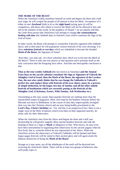#### **THE MARK OF THE BEAST**

When the Antichrist visibly manifests himself on earth and begins his three and a half year reign, he will compel the people of all nations to bear his Mark. Acceptance of it either in one's *forehead* (faith in it) or the **right hand** (acting upon it) will be compulsory, and those who refuse to receive the Mark will not be allowed to buy and sell in the markets of the world. In the prophecy of Daniel 7 we are plainly told that the Little Horn power (the Antichrist) will attempt to change *the commandments dealing with time (the Sabbath days in Yahweh's law)* which constitute the Sign of the God of Israel.

In other words, the Beast will attempt to counterfeit Yahweh's signature (His Sabbath days): and in their place he will popularise various festivals of his own choosing. It is these *substitute festivals or rest days* which are scheduled to become the dreaded **Mark of the Beast,** the Signature of Satan!

*'And what*,' you may ask, *'are these substitute days which are to become the Mark of the Beast?'* There is only one true answer to that question and it presents itself as the only conclusion that the foregoing facts allow. And that one inescapable conclusion is this:

**That as the true weekly Sabbath (**the day known as Saturday) **and the Annual Feast Days in the sacred calendar constitute the Sign or Signature of Yahweh the Almighty God of Israel, then the Mark of the Beast, the signature of the Lawless One, the one who vainly thinks that he can change the Sabbaths in Yahweh's perfect law and replace them with festivals of his own choice, must, by a process of simple deduction, be the bogus rest-day of Sunday and all the other unholy festivals of heathenism which are currently posing as the festivals of the Almighty God. (Christmas, Easter, Whit Sunday, Ash Wednesday etc.)** 

Astonishing as this may sound, these popular festivals are nothing more than the unsanctified output of paganism. Most were kept by the heathen centuries before the Messiah was born in Bethlehem. In the course of time they imperceptibly inveigled their way into the Christian church and are now being boldly proclaimed as the Lord's Day, Christ's birthday etc. Yet, and this is an unequivocal fact, there is not a single verse in the Holy Scriptures which even hints at their supposed sanctity, let alone calls for their observance.

When the Antichrist rises from the Abyss and begins his three and a half year dictatorship he will greatly magnify these ancient heathen festivals and rank the keeping of them as a Sign or **Mark** of allegiance to him. Who knows, he may even have been instrumental in organising their observance by the ancient pagans when he first lived; that is, centuries before he was imprisoned in the Abyss. When the Antichrist arrives the observance of Yahweh's Sabbaths will be banned and these bogus pagan festivals will be raised to their ancient glory and will again attain the dubious distinction of being the **Mark of the Beast!**

Strange as it may seem, not all the inhabitants of the earth will be deceived into receiving the Antichrist's Mark. There will be at least two groups of believers who will totally reject it.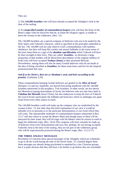They are:

1) The *144,000 Israelites* who will have already accepted the Almighty's Seal at the time of the sealing.

2) An *unspecified number of commandment-keepers* who will bear the brunt of the Beast's anger when he discovers that he, as Satan the Dragon's agent, is unable to harm the woman in the wilderness. (Rev. 12)

The 144,000 Israelites are a special company of believers who are to be sealed by the Holy Spirit with Yahweh's character, which is specified in the principles embodied in the law. The 144,000 will not only observe God's commandments with faultless obedience, but they will keep His weekly and annual Sabbaths in the truest sense of the term: keep them as a sign of the **absolute sanctification** which Yahweh will have by then wrought in their lives. They are called *'Israelites*,' so obviously a large proportion of that number will be blood-born descendants of the original children of Israel who will have accepted **Yeshua (Jesus)** as their promised Messiah. Nevertheless, among them will also be many Gentile believers who do not baulk at the idea of being classified as *Israelites;* for these souls know and live by the inspired pronouncement that says:

#### *And if ye be Christ's, then are ye Abraham's seed, and heirs according to the promise.* (Galatians 3:29)

These commandment-keeping Gentile believers are grafted in the *Olive of Israel* (Romans 11) and are, hopefully, not barred from being numbered with the 144,000 Israelites mentioned in this prophecy. True Israelites, in other words, are not merely the Messiah-accepting descendants of Jacob, but believers who not only have faith in **Yahshua the Messiah** (Jesus Christ), but also endeavour to keep the laws of Yahweh the God of Israel: particularly the Sabbath and food laws which so strikingly sets apart Israel from every other nation on earth.

The 144,000 Israelites could well make up the company who are symbolised by the woman in Rev. 12, but other than this brief explanation of our view it would be infantile of us to presume as to the particular denomination or race from which they will come. The innumerable multitude of commandment-keepers mentioned in Rev. 12:17 will also refuse to accept the Beast's Mark and though many of them will be martyred for their stand, they will all reign with the Master when he returns to earth to begin his millennial reign. (Rev. 20:4) This company will most certainly be made up of believers from every denomination and race; but, perhaps, for not having accepted Yahweh's Seal at the time of the sealing, they are not part of the wilderness group who will be supernaturally protected during the Beast's reign. (Rev. 12:13-17)

#### **THE THREE ANGELS' MESSAGES**

Revelation 14 concerns three special messages of the Almighty which are scheduled to go to all the world during the time of the Seven Seals. To a limited degree these three messages are already being proclaimed to mankind by a few Christian groups, but it is quite obvious that they still have a lot further to go before they are concluded.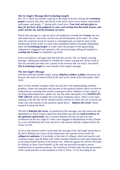#### **The 1st Angel's Message (the Everlasting Gospel)**

*Rev.14: 6: And I saw another angel fly in the midst of heaven, having the everlasting gospel to preach unto them that dwell on the earth, and to every nation, and kindred, and tongue, and people, 7: Saying with a loud voice, Fear God, and give glory to him; for the hour of his judgment is come: and worship him that made heaven, and earth, and the sea, and the fountains of waters.* 

Plainly this message is a special call to all mankind to worship the **Creator,** *the one who made heaven, and earth, and the sea and the fountains of the water.* At a time when the scriptural record of creation is contemptuously set aside by most of the intellectuals of this world: at a time when multiplied millions of people disdainfully reject the **Everlasting Gospel**: at a time when the prospect of the approaching Judgement is sniggered and sneered at, this sacred message calling all mankind to **worship the Creator** is scheduled to go forth.

Every true believer will agree that that time has arrived. The 1st Angel's warning message, calling upon mankind to worship the Creator is going into all the world at this very moment and there isn't a power in the universe that can stop it. See article **The Everlasting Gospel** for more details of this angel's message.

#### **The 2nd Angel's Message**

*And there followed another angel, saying, Babylon is fallen, is fallen, that great city, because she made all nations drink of the wine of the wrath of her fornication.* (Rev. 14:8)

Here we have another example of that second clue to the understanding symbolic prophecy, where the operation and outcome of the spiritual realities above can best be understood by watching their earthly counterparts below. Babylon, in this context, is not King Nebuchadnezzar's capital city, but that other metropolis of evil **BABYLON THE GREAT** which straddles the Great River Euphrates above. What is even more stunning is the fact that all the vaunted earthly systems of which men are so proud, are really only sub-systems of this spiritual capital above *Babylon the Great!* whose monarch is Satan the Devil.

The fall of **Babylon the Great**, as predicted by this message, not only means the utter degradation to which Satan's capital has descended, but also the **total overthrow of the spiritual capital itself.** Just as ancient Babylon fell into sin and was later overthrown on the very night it's rulers were engaged in blasphemous revelry (Daniel 5), so too will Babylon the Great and all it's sub-systems literally collapse before the armies of God.

As far as this present world is concerned, the message of the 2nd Angel means that at the fall of Babylon the Great, all the Babylonian sub-systems of the world will **collapse in confusion.** It is probably at that time of collapse, when total anarchy and confusion reigns, that the Beast will visibly manifest himself on earth and masquerade as the long awaited Saviour of the human race. When he appears he will be welcomed by millions as Jesus Christ himself; as the only one powerful enough to rescue mankind from its myriad problems. The Antichrist will then take over the government of the world and dare to rule mankind as God! (2 Thess. 2:3-4) According to the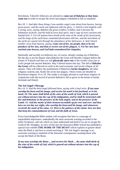Revelation, Yahweh's followers are advised to **come out of Babylon at that time; come out** in order to escape the seven last plagues scheduled to fall on mankind.

*Rev.18: 1: And after these things I saw another angel come down from heaven, having great power; and the earth was lightened with his glory. 2: And he cried mightily with a strong voice, saying, Babylon the great is fallen, is fallen, and is become the habitation of devils, and the hold of every foul spirit, and a cage of every unclean and hateful bird. 3: For all nations have drunk of the wine of the wrath of her fornication, and the kings of the earth have committed fornication with her, and the merchants of the earth are waxed rich through the abundance of her delicacies. 4: And I heard another voice from heaven, saying, Come out of her, my people, that ye be not partakers of her sins, and that ye receive not of her plagues. 5: For her sins have reached unto heaven, and God hath remembered her iniquities.*

Spiritually and socially we believers are, of course, already coming out of Babylon; but the day is not far distant when Babylon the Great will literally collapse before the armies of Yahweh and then we will **physically move out** of the world's cities just as God's people left ancient Babylon. May Yahweh hasten that day. The fall of **Babylon the Great** will be reflected on earth in the total economic and social collapse of all nations. Then will follow the punishment of Babylon's **harlot daughters,** the false religious systems and, finally the seven last plagues. These events are detailed in Revelation chapters 15 to 18. The reader is strongly advised to read those chapters in conjunction with the record of ancient Babylon's fall as given in the books of Isaiah, Jeremiah and Daniel.

#### **The 3rd Angel's Message**

*Rev.14: 9: And the third angel followed them, saying with a loud voice, If any man worship the beast and his image, and receive his mark in his forehead, or in his hand, 10: The same shall drink of the wine of the wrath of God, which is poured out without mixture into the cup of his indignation; and he shall be tormented with fire and brimstone in the presence of the holy angels, and in the presence of the Lamb: 11: And the smoke of their torment ascendeth up for ever and ever: and they have no rest day nor night, who worship the beast and his image, and whosoever receiveth the mark of his name. 12: Here is the patience of the saints: here are they that keep the commandments of God, and the faith of Jesus.*

Every knowledgeable Bible student will recognise that here is a message of unparalleled importance, undoubtedly the most awesome warning recorded in the entire Scriptures, and one which we must understand and heed if we are to escape the wrath of the Almighty. In view of this fact the Stewarton Bible School has published a special tract entitled **THE MARK OF THE BEAST** which explains in greater detail what the Mark is and how to avoid receiving it. The 3rd Angel's message is an awesome warning to mankind of the fearsome consequences awaiting those who accept the Mark of the Beast.

*If any man worships the Beast ... and receives his Mark ... the same shall drink of the wine of the wrath of God, which is poured out without mixture into the cup of his indignation.*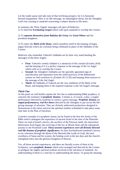Let the reader pause and take note of that terrifying prospect, for it is fearsome beyond imagination. Here is no idle message, no meaningless threat, but the Almighty God's last warning to mankind concerning a subject dearest to His heart.

In summary the Three Angels' messages call upon all believers: 1) To heed the *Everlasting Gospel* which calls upon mankind to worship the Creator.

#### 2) To *separate themselves from Babylon the Great,* the *Great Whore* and her prostitute daughters.

3) To reject the *Mark of the Beast*, which manifests itself in the keeping of bogus pagan festivals which are currently being celebrated in place of the Sabbaths of the Creator.

Believers who remember Yahweh's Sabbaths are by their very stand heeding the messages of the three Angels.

- First: Yahweh's weekly Sabbath is a memorial of His creation (Exodus 20:8) and the keeping of it is a perfect response to the message of the 1st Angel which calls us to worship the Creator.
- **Second:** the Almighty's Sabbaths are the specially appointed sign of sanctification and separation from the sinful practices of the Babylonian system we find ourselves in; (Ezekiel 20:12-20) and keeping them answers to the message of the 2nd Angel.
- **Third:** the Sabbaths of Yahweh are the very antithesis of the Mark of the Beast, and keeping them is the required response to the 3rd Angel's message.

### **Third Clue**

At this point we will briefly explain the 3rd clue to understanding Bible prophecy. It concerns the existence of *prophetic dramas.* A drama is, of course, a play, a staged performance directed by someone to convey a given message. *Prophetic dramas* are *staged performances, real live shows* directed by the Almighty to put across the lifegiving message of salvation. They are divinely authorised productions designed to demonstrate to the entire universe the spiritual realities scheduled to take place some time later in the Plan of Salvation.

A perfect example of a prophetic drama can be found in the first few books of the Bible which catalogues the experience of ancient Israel in the time of the Pharaohs. There we read of Israel's slavery, the sacrifice of the Passover lamb, the miraculous deliverance from Egypt, the receiving of the law at Mount Sinai and the subsequent journey to the Promised Land. *Those ancient experiences were all divinely directed real-life dramas of prophetic significance,* for they foreshadowed mankind's slavery in sin, salvation through the blood of the Messiah (the Lamb of God), the total overthrow of Satan and his system, the Sealing work in the last days and the church's triumphant entry into the glorious Kingdom of Heaven.

Yes, all those ancient experiences, and there are literally scores of them in the Scriptures, were *prophetic dramas* which were arranged and directed by the Creator to prefigure the mighty spiritual realities involved in the salvation of mankind. An understanding of them is a vital key to understanding the future. To grasp the meaning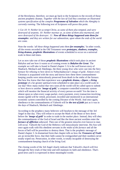of the Revelation, therefore, we must go back to the Scriptures to the records of those ancient prophetic dramas. *Together with the law of God they constitute an illustrated systems specification of the complex Programme of Salvation which the Almighty is currently running.* The following text of Scriptures will prove this point.

*1 Cor.10: 9: Neither let us tempt Christ, as some of them also tempted, and were destroyed of serpents. 10: Neither murmur ye, as some of them also murmured, and were destroyed of the destroyer. 11: Now all these things happened unto them for ensamples: and they are written for our admonition, upon whom the ends of the world are come.* 

Note the words: *'all these things happened unto them for ensamples.'* In other words, all the events recorded in the Old Testament were *prototypes, shadows, examples, living dramas, prophetic illustrations* of events scheduled to occur on a universal scale in these end times.

Let us now take one of those *prophetic illustrations* which took place in ancient Babylon and see how it warns us of coming events in *Babylon the Great*. The example we will take is found in Daniel chapter 3. It is the well known story of Shadrach, Meshach and Abednego, the three young Jews who were cast into the fiery furnace for refusing to bow down to Nebuchadnezzar's image of gold. Almost every Christian is acquainted with the story and knows how these three commandmentkeeping youths were miraculously preserved from death in the midst of the furnace. But how few know that that experience was a *prophetic drama,* a *figure*, a *living prototype* of a far greater spiritual event scheduled to take place on a world scale in our day? How many realise that very soon all the world will be called upon to submit or bow down to another *'image of gold,'* a computer-controlled economic system which will monitor the financial activity of every person on earth! Yes the time is almost upon us when every wage-packet, every payment, every transaction involving money (gold) will be vetted, processed, recorded and monitored in an international economic system controlled by the coming Dictator of the World. And once again, obedience to the commandments of Yahweh will be *the test of faith* just as it was in the days of Shadrach, Meshach and Abednego.

According to the prophecy many believers will hearken to the message of the 3rd Angel in that day. They will refuse to accept the Mark of the Beast or bow down before the *'image of gold'* in order to trade in the market place. Instead, they will obey the commandments of the God of Israel and like the three ancient worthies enter the *furnace of affliction* unbowed. Then one of the greatest miracles ever known to man will occur. Yahweh the God of the Hebrews will miraculously intervene. His Son will once again walk with His obedient servants in *the midst of the furnace* and all the forces of hell will be powerless to destroy them. That is the prophetic message of Daniel chapter 3. In dramatised form that chapter tells us how the *Treasures of Truth* are an invincible force, that their faith cannot be extinguished and their numbers never totally wiped out. Persecution, in other words, is totally incapable of destroying the commandment-keeping church of the living God.

The closing words of the 3rd Angel clearly indicate that Yahweh's church will live through the fiery trials of that time and still maintain its faith and obedience. That's good news and it is expressed in these meaningful words: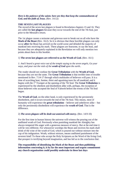#### *Here is the patience of the saints: here are they that keep the commandments of God, and the faith of Jesus.* (Rev. 14:12)

#### **THE SEVEN LAST PLAGUES**

The record of the seven last plagues is found in Revelation chapters 15 and 16. They are called the **last plagues** because they occur towards the end of the 7th Seal, just prior to the Messiah's return.

The 1st plague causes a noisome and grievous sore to break out on all who have the **Mark of the Beast** (Rev. 16:2). So it is obvious that these horrible plagues can only occur **after** the Beast has arrived on the world scene and deluded the majority of mankind into receiving his mark. These plagues are fearsome, to say the least, and because they are adequately explained in the Revelation we will only mention two points about them in this booklet.

#### 1) **The seven last plagues are referred to as the Wrath of God.** (Rev. 16:1)

*1: And I heard a great voice out of the temple saying to the seven angels, Go your ways, and pour out the vials of the wrath of God upon the earth..* 

The reader should not confuse the **Great Tribulation** with the **Wrath of God,**  because they are not the same. The **Great Tribulation** is that terrible time of trouble mentioned in Rev. 7:14-17 through which multitudes of believers will pass. It is a time of scorching heat, famine, thirst and agonising tears for all mankind; and it begins with the 1<sup>st</sup> Trumpet at the opening of the 7th Seal. The Great Tribulation is experienced by the obedient and disobedient alike with, perhaps, the exception of those believers who accepted the Seal of Yahweh before the events of the 7th Seal began.

The **Wrath of God**, on the other hand, is only experienced by the persistently disobedient, and it occurs towards the end of the 7th Seal. This means, most of humanity will experience the **great tribulation**  $-$  believer and unbeliever alike  $-$  but only the persistently disobedient will experience the **wrath of God.** That is the difference.

#### 2) *The seven plagues will be dealt out unmixed with mercy.* (Rev. 14:9-10)

For the first time in human history the universe will witness the pouring out of the undiluted wrath of God. Previously when punishing mankind the Almighty has always tempered His anger with a generous measure of mercy. But at the end time it will be very different. For whosoever worships the Beast and receives his mark shall drink of the wine of the wrath of God, which is poured out without mixture into the cup of his indignation. Wrath, without mixture, means undiluted punishment of the severest kind! To those who accept the Holy Scriptures as the Word of the living God, that prospect is terrifying beyond imagination, and has led us to the conclusion that:

**The responsibility of identifying the Mark of the Beast and then publishing information concerning it, is by far the most important and urgent commitment any church organisation could possibly undertake in these last days**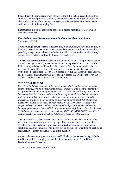Indeed this is the prime reason why the Stewarton Bible School is sending out this booklet, (and placing it on the Internet) so that every person who reads it will have a clear understanding of the momentous issues at stake and know how to escape the undiluted wrath of the Almighty God.

Encapsulated in a single instruction the route a person must take to escape God's wrath is as follows:

#### *Fear God and keep his commandments for this is the whole duty of man.*  (Ecclesiastes 12:13)

To **fear God (Yahweh)** means to respect him, to honour him, to have faith in him, to love him, to stand in awe of his immeasurable holiness and worth; and above all to gratefully accept the priceless gift of salvation which he has made available through his only begotten Son, **Yeshua** the Messiah (Jesus Christ).

To **keep His commandments** needs little if any explanation. It simply means to obey Yahweh's law (Exodus 20). Obedience is in fact an expression of faith, the fruit of faith, the only reliable manifestation of true love to God. In other words, believers who love the Almighty should seek to obey His commandments, because faith without obedience is dead (1 John 5:1-3, James 2:17-26). All those who fear Yahweh and keep His commandments will most certainly escape His wrath  $-$  the seven last plagues. Let the reader pause and note these vital facts.

#### **THE GREAT HARLOT**

*Rev.17: 1: And there came one of the seven angels which had the seven vials, and talked with me, saying unto me, Come hither; I will shew unto thee the judgment of the great whore that sitteth upon many waters: 2: With whom the kings of the earth have committed fornication, and the inhabitants of the earth have been made drunk with the wine of her fornication. 3: So he carried me away in the spirit into the wilderness: and I saw a woman sit upon a scarlet coloured beast, full of names of blasphemy, having seven heads and ten horns. 4: And the woman was arrayed in purple and scarlet colour, and decked with gold and precious stones and pearls, having a golden cup in her hand full of abominations and filthiness of her fornication: 5: And upon her forehead was a name written, MYSTERY, BABYLON THE GREAT, THE MOTHER OF HARLOTS AND ABOMINATIONS OF THE EARTH.*

The identity of the **Great Whore** has been the subject of speculation for centuries. And even though the various church groups differ as to who she is, almost all agree that she represents a **religious system or organisation** of some kind which has prostituted itself for the sake of popularity, power or gain. But what kind of a religious organisation human or angelic? That is the question.

A clue to the answer is given in the text itself. She bears the name of a city, **Babylon the Great,** which is a mighty metropolis of evil situated on the **Great River Euphrates** above. This city:

1) Governs all the nations of the world.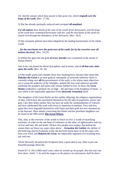*18: And the woman which thou sawest is that great city, which reigneth over the kings of the earth.* (Rev. 17:18)

2) She has already spiritually seduced and corrupted **all mankind.**

*For all nations have drunk of the wine of the wrath of her fornication, and the kings of the earth have committed fornication with her, and the merchants of the earth are waxed rich through the abundance of her delicacies.* (Rev. 18:3)

3) Her economic policies have been adopted by the leading businessmen of the whole world.

*…for thy merchants were the great men of the earth; for by thy sorceries were all nations deceived..* (Rev. 18:23)

4) Within her gates lies the guilt **of every murder** ever committed in the annals of human history.

#### *And in her was found the blood of prophets, and of saints, and of all that were slain upon the earth.* (Rev. 18: 24)

Let the reader pause and consider those four stunning facts, because they mean that **Babylon the Great** is an inter-galactic metropolis of awesome authority which is currently ruling over **all** the governments of the earth; a city whose main objectives are to usurp the authority of the Almighty, abolish His laws and wherever possible annihilate the prophets and saints who remain faithful to him. In short, the *Great Harlot* symbolises a spiritual city on high  $-$  the epicentre of the Kingdom of Satan  $-$  a city which is the implacable opponent of the **Heavenly Jerusalem** itself.

The daughters of the Great Harlot are her earthly offspring, the religious organisations of men, which have also prostituted themselves for the sake of popularity, power and gain. Like their fallen mother they too have set aside the commandments of Yahweh and have adulterated His truth with errors to numerous to mention. Over and over again they have degraded themselves with Satan and their guilt has now mounted up to the heavens. More details concerning this Harlot and her prostitute daughters can be found in the SBS article **The Great Whore.**

This, then, is the overview of the world in which we live: a world of mystifying extremes, of order on the one hand of confusion on the other, of righteousness and sin, of love and hate, life and death. Oh how few people even suspect that behind the scenes there are those two super-cities above *Jerusalem the Golden,* the mother of the believing church (Galatians 4:26), the heavenly home-base of all the saints who have ever lived: and *Babylon the Great*, the implacable opponent of everything holy, just and true.

Of the Heavenly Jerusalem the Scriptures have a great deal to say. Here is just one beautiful passage about her.

*Psalm 87: 6: The LORD shall count, when he writeth up the people, that this man was born there. Selah. 7: As well the singers as the players on instruments shall be there:*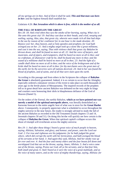*all my springs are in thee. And of Zion it shall be said, This and that man was born in her: and the highest himself shall establish her.* 

#### Galatians 4:26: *But Jerusalem which is above is free, which is the mother of us all.*

#### **THE FALL OF BABYLON THE GREAT**

*Rev.18: 18: And cried when they saw the smoke of her burning, saying, What city is like unto this great city! 19: And they cast dust on their heads, and cried, weeping and wailing, saying, Alas, alas, that great city, wherein were made rich all that had ships in the sea by reason of her costliness! for in one hour is she made desolate. 20: Rejoice over her, thou heaven, and ye holy apostles and prophets; for God hath avenged you on her. 21: And a mighty angel took up a stone like a great millstone, and cast it into the sea, saying, Thus with violence shall that great city Babylon be thrown down, and shall be found no more at all. 22: And the voice of harpers, and musicians, and of pipers, and trumpeters, shall be heard no more at all in thee; and no craftsman, of whatsoever craft he be, shall be found any more in thee; and the sound of a millstone shall be heard no more at all in thee; 23: And the light of a candle shall shine no more at all in thee; and the voice of the bridegroom and of the bride shall be heard no more at all in thee: for thy merchants were the great men of the earth; for by thy sorceries were all nations deceived. 24: And in her was found the blood of prophets, and of saints, and of all that were slain upon the earth.*

According to this passage and from others in the Scriptures the collapse of **Babylon the Great** is absolutely guaranteed. Indeed, it is so certain to occur that the Almighty especially ordered a miniature version of the event to take place on earth thousands of years ago in the fertile plains of Mesopotamia. The inspired records of the prophets tell us in great detail how ancient Babylon was defeated on the very night its kings and courtiers were honouring their idols in blasphemous defiance of the God of Heaven (Daniel 5).

On the orders of the Eternal, the earthly Babylon, **which as we have pointed out was merely a model of the spiritual metropolis above,** was literally demolished as a fearsome forecast to the entire angelic host of what was in store for the **Great Harlot** above. Consequently, to properly appreciate what is scheduled to occur throughout the mighty universe in the near future, the reader is strongly advised to study the fall of the ancient Babylon as recorded in the Old Testament (Isaiah chapters 13 and 14, Jeremiah chapters 50 and 51). On doing this he/she will quickly see how certain is the collapse of **Babylon the Great.** When that spiritual capital's collapse occurs this shout of triumph will reverberate across the mighty universe.

*Rev.19: 1: And after these things I heard a great voice of much people in heaven, saying, Alleluia; Salvation, and glory, and honour, and power, unto the Lord our God: 2: For true and righteous are his judgments: for he hath judged the great whore, which did corrupt the earth with her fornication, and hath avenged the blood of his servants at her hand. 3: And again they said, Alleluia. And her smoke rose up for ever and ever. 4: And the four and twenty elders and the four beasts fell down and worshipped God that sat on the throne, saying, Amen; Alleluia. 5: And a voice came out of the throne, saying, Praise our God, all ye his servants, and ye that fear him, both small and great. 6: And I heard as it were the voice of a great multitude, and as the voice of many waters, and as the voice of mighty thunderings, saying, Alleluia: for*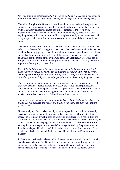#### *the Lord God omnipotent reigneth. 7: Let us be glad and rejoice, and give honour to him: for the marriage of the Lamb is come, and his wife hath made herself ready.*

The fall of **Babylon the Great** will have immediate repercussions throughout the universe. On earth an economic crash of unparalleled proportions will occur, which will permanently cripple thousands of business enterprises the world over. International trade, which we all know is motivated mainly by greed rather than anything noble, will come to a standstill as though smitten by a massive stroke; and many shops, banks, factories and business corporations around the world will shut down.

The whole of Revelation 18 is given over to describing the trade and economic sideeffects of Babylon's fall. Strange as it may seem, the Revelation clearly indicates that mankind is not only going to share in a small way Babylon's punishment and collapse, but is also going to eye-witness the event itself. Just as human eyes will be permitted to actually see the throne of the living God at the 6th Seal (Rev. 6:16-17) so too at Babylon's fall millions of human beings will actually stand aghast as they see that evil super-city above going up in smoke.

*Rev.18: 9: And the kings of the earth, who have committed fornication and lived deliciously with her, shall bewail her, and lament for her, when they shall see the smoke of her burning, 10: Standing afar off for the fear of her torment, saying, Alas, alas, that great city Babylon, that mighty city! for in one hour is thy judgment come.*

Then, in a frenzy of awareness, men and woman will realise how terribly deceived they have been in religious matters: how easily the Harlot and her promiscuous earthly daughters had inveigled them into accepting as truth the dubious doctrines of devils. Mankind will then turn in rage on all the religious organisations of men **Christian or otherwise** – and will literally tear them to pieces.

*And the ten horns which thou sawest upon the beast, these shall hate the whore, and shall make her desolate and naked, and shall eat her flesh, and burn her with fire.*  (Rev.17:16)

Goaded on by the Beast, whose deadly dictatorship at that time will be universally accepted, men will abandon themselves to the service of the **Man of Sin**. It will, indeed, be a **Time of Trouble** such as never was since there was a nation. But, and this is the most wondrous part of it all, Yahweh's true church, the *ekklesia of G***od,** the sealed commandment-keeping servants of the Most High – will be saved out of it. During that awesome period the sealed church, symbolised by the pure woman in Revelation chapter 12, will be safe in the wilderness of the nations out of the Devil's reach (Rev. 12:13-16, Ezekiel 20:33-37) See SBS article entitled *The Coming Exodus.*

In the unseen spirit realms above and on the earth below there will be total confusion and chaos at Babylon's fall. But at that time Yahweh's followers throughout the universe, especially those on earth, will rejoice with joy unspeakable. For they will have a measure of peace and protection which no demon will be able to disturb.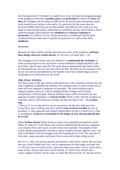Isn't that good news? We think it is. Indeed were it not for those encouraging passages in the prophecy which tell of **pardon, peace** and **protection** for those who **trust** and **obey** the Almighty, the Revelation would terrify the bravest heart and produce panic in the mind of every believer who read it. It is precisely for this reason that the Stewarton Bible School has put out this booklet, that believers the world over may begin to study the Revelation, understand its symbolism and pay special heed to those inspired passages which indicate that **obedience is a vital pre-requisite to protection.** For, believe it or not, divine protection is conditional; and the main condition believers must meet to qualify for protection is to add to their faith **obedience.**

#### Remember:

#### *Blessed is he that readeth, and they that hear the words of this prophecy, and keep those things which are written therein: for the time is at hand.* (Rev. 1:3)

The Almighty God of Israel wants His followers to **understand the revelation**, to wake up and prepare for the cataclysmic events scheduled to engulf mankind in the near future. But far more than this, He wants them to demonstrate their faith in Him by obeying His law. Do you have the will to do that? We hope you do, because if you do not you will be overwhelmed by the troubles which have already begun and are escalating out of control all over the world.

#### **THE FINAL SCENES**

The final scenes of this age will be swift and decisive. The Antichrist will have by that time completely established his authority over mankind and to a certain extent life on earth will have regained a semblance of normality. The whole kaleidoscope of religious opinion, however, with its multiple shades of Pagan and Christian interpretation, will have gone. Instead, the Beast alone will be revered by the vast majority of earth's population as **God On Earth!** All the world, with the exception of Yahweh's church, will in that day worship and obey the Man of Sin – the **Lawless One.**

*2 Thess.2:3: Let no man deceive you by any means: for that day shall not come, except there come a falling away first, and that man of sin be revealed, the son of perdition; 4: Who opposeth and exalteth himself above all that is called God, or that is worshipped; so that he as God sitteth in the temple of God, shewing himself that he is God.*

When **Yeshua (Jesus)** finally returns to earth, as he repeatedly promised he would (Matt. 24, John 14:1-3) the Beast will convince mankind that the Saviour's approach is an invasion from outer space, an alien attack to be repulsed. The peoples of this world, already programmed to the idea of space invaders and inter-galactic wars, will rally to the Beast's call and strongly resist the returning Son of God. The outcome of their short, sharp encounter with Jesus Christ is pictured in these telling words:

*Rev.19: 11: And I saw heaven opened, and behold a white horse; and he that sat upon him was called Faithful and True, and in righteousness he doth judge and make war. 12: His eyes were as a flame of fire, and on his head were many crowns; and he had a name written, that no man knew, but he himself. 13: And he was clothed with a vesture dipped in blood: and his name is called The Word of God. 14: And the armies*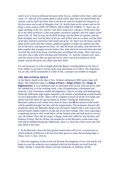*which were in heaven followed him upon white horses, clothed in fine linen, white and clean. 15: And out of his mouth goeth a sharp sword, that with it he should smite the nations: and he shall rule them with a rod of iron: and he treadeth the winepress of the fierceness and wrath of Almighty God. 16: And he hath on his vesture and on his thigh a name written, KING OF KINGS, AND LORD OF LORDS. 17: And I saw an angel standing in the sun; and he cried with a loud voice, saying to all the fowls that fly in the midst of heaven, Come and gather yourselves together unto the supper of the great God; 18: That ye may eat the flesh of kings, and the flesh of captains, and the flesh of mighty men, and the flesh of horses, and of them that sit on them, and the flesh of all men, both free and bond, both small and great. 19: And I saw the beast, and the kings of the earth, and their armies, gathered together to make war against him that sat on the horse, and against his army. 20: And the beast was taken, and with him the false prophet that wrought miracles before him, with which he deceived them that had received the mark of the beast, and them that worshipped his image. These both were cast alive into a lake of fire burning with brimstone. 21: And the remnant were slain with the sword of him that sat upon the horse, which sword proceeded out of his mouth: and all the fowls were filled with their flesh.* 

It is not necessary to write at length about the Beast's crushing defeat by the Son of God. Suffice to say that it will be swift, total and eternal in its effect. The Antichrist, we are told, will be incinerated in a lake of fire, a prospect too terrible to imagine.

#### **THE MILLENNIAL REIGN**

At the Beast's death in the lake of fire, Yeshua's millennial (1000 years) reign will begin. The millennial reign is a **Reign of Peace,** a **Reign of Rest** and a **Reign of Righteousness.** It is to mankind's past six thousand years of toil, trial and terror what the Sabbath day is to the working week, a day of regeneration, refreshment and renewal; a day of harmony, health and happiness; a day of worship and thanksgiving. When the millennial reign begins humanity will witness a breathtaking transformation in every department of life. There will be complete reversal of all the evil trends and abuses that have been for ages accepted as normal. During the millennium, the Messiah's authority will extend from shore to shore and **all** the nations of the world will be speedily brought into line with his requirements. The Scriptures abound with prophecies about the Messiah's Reign over all nations. Indeed, this is one reason why ancient Israel's leaders failed to accept him at his first coming. They were expecting a conquering monarch who would throw off the Roman yoke and lead Israel to victory over all nations. They did not expect a dying Lamb who called for self-sacrifice and holiness of heart. But for all that, the prophecies of the Messiah's world-wide reign will still be fulfilled during the millennium. Here is a short list of the events that will take place at that time.

1. At the Messiah's return the first general resurrection will occur, a resurrection at which millions of believers will rise from their graves to meet the returning king. (1) Thess. 4:16-17, Rev. 20:4-6)

2. Then the kingdoms of this world will become the kingdoms of our Lord and he will begin to exert the authority over mankind which he has already received from his Father. (Psalm 2, Psalm 98, Daniel 2:43-44, Zechariah 14, Matthew 28:18)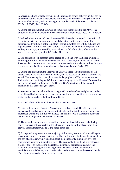3. Special positions of authority will also be granted to certain believers in that day to govern the nations under the leadership of the Messiah. Foremost amongst them will be those who are martyred for refusing to accept the Mark of the Beast. (Luke 19:11- 27, Rev. 2:26-27, Rev. 20:4-6)

4. During the millennium Satan will be completely immobilised in the Abyss, that bottomless black-hole where the Beast was formerly imprisoned. (Rev. 20:1-3 Rev. 9)

5. Yahweh's law, the sacred specifications of His lifestyle, the eternal constitution of the universe will then be proclaimed to all the nations of the world and will be administered by officials of the Kingdom with telling effect. Sin will be subdued and righteousness will flourish as never before. Then at last mankind will rest; mankind will rejoice with joy unspeakable; mankind will be full of the glory of God as the waters cover the sea. (Isaiah 2:1-5, Isaiah 51: 1-11)

6. The earth itself will blossom as the garden of God and even the barren wilderness will bring forth fruit. There will be no more food shortages, no famine and no more freak weather conditions. All nature will be at rest and a spiritual calm will settle upon the human race the like of which has never been seen before. (Isaiah 35)

7. During the millennium the Festivals of Yahweh, those sacred memorials of His greatest acts in the Programme of Salvation, will be observed by **all** the nations of the world. This amazing fact is amply proved in the prophecy of Zechariah, where we find a whole section (chapter 14) devoted to the keeping of the **Feast of Tabernacles** during the Messiah's millennial reign. Oh yes, God's signature will be upon all mankind in that glorious age of peace.

In a sentence, the Messiah's millennial reign will be a day of rest and gladness, a day of health and holiness, a day of peace and prosperity for all mankind. Is it any wonder that even the Almighty is looking forward to it?

At the end of the millennium three notable events will occur.

1) Satan will be loosed from the Abyss for a very short period. He will come out unchanged from that spirit-penitentiary; that is, he will be totally unrepentant of his monstrous crimes and still fully convinced that his life-style is superior to Jehovah's and his form of government more to be desired.

2) The second general resurrection will occur and all those billions of unbelieving souls who were not resurrected at the Messiah's return to earth will rise from their graves. Their numbers will be as the sands of the sea.

3) Strange as it may seem, the vast majority of this newly resurrected host will again succumb to the deceptions of Satan and will even side with him in an all-out attack on the city of Jerusalem, vainly imagining that their superiority in numbers over the saints would somehow guarantee victory. The ensuing battle will end in a holocaust a lake of fire  $-$  an incinerating slaughter so permanent that rebellion against the Almighty will never again raise its ugly head. The lake of fire, which totally annihilates the unbelieving host, is referred to in the Revelation as the **second death**. There is no resurrection from the second death.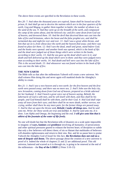The above three events are specified in the Revelation in these words.

*Rev.20: 7: And when the thousand years are expired, Satan shall be loosed out of his prison, 8: And shall go out to deceive the nations which are in the four quarters of the earth, Gog and Magog, to gather them together to battle: the number of whom is as the sand of the sea. 9: And they went up on the breadth of the earth, and compassed the camp of the saints about, and the beloved city: and fire came down from God out of heaven, and devoured them. 10: And the devil that deceived them was cast into the lake of fire and brimstone, where the beast and the false prophet are, and shall be tormented day and night for ever and ever. 11: And I saw a great white throne, and him that sat on it, from whose face the earth and the heaven fled away; and there was found no place for them. 12: And I saw the dead, small and great, stand before God; and the books were opened: and another book was opened, which is the book of life: and the dead were judged out of those things which were written in the books, according to their works. 13: And the sea gave up the dead which were in it; and death and hell delivered up the dead which were in them: and they were judged every man according to their works. 14: And death and hell were cast into the lake of fire. This is the second death. 15: And whosoever was not found written in the book of life was cast into the lake of fire.*

#### **THE NEW EARTH**

The Bible tells us that after the millennium Yahweh will create a new universe. We shall witness Him doing this and never again will mankind doubt the Almighty's ability to create.

*Rev.21: 1: And I saw a new heaven and a new earth: for the first heaven and the first earth were passed away; and there was no more sea. 2: And I John saw the holy city, new Jerusalem, coming down from God out of heaven, prepared as a bride adorned for her husband. 3: And I heard a great voice out of heaven saying, Behold, the tabernacle of God is with men, and he will dwell with them, and they shall be his people, and God himself shall be with them, and be their God. 4: And God shall wipe away all tears from their eyes; and there shall be no more death, neither sorrow, nor crying, neither shall there be any more pain: for the former things are passed away. 5: And he that sat upon the throne said, Behold, I make all things new. And he said unto me, Write: for these words are true and faithful. 6: And he said unto me, It is done. I am Alpha and Omega, the beginning and the end. I will give unto him that is athirst of the fountain of the water of life freely.*

No one will doubt but that the Revelation tells of disasters on a scale quite impossible to imagine; of **wars, famines** and **pestilence** involving all humanity; of persecutions and other spiritual pressures geared to exhaust the bravest heart; of deception so subtle that only a few believers will detect them; of sin so blatant that multitudes of believers will abandon righteousness and return to their sins. But, and let us pause here to praise Yahweh the Almighty God of Israel for this fact, **the Revelation does not end on a note of despair and doom.** The above passage about the creation of a new universe is proof of it. Indeed the whole of chapters 21 and 22 are additional proof. This old universe, battered and scarred as it is through sin, is going to be renewed at the end of the millennium  $-$  the **Day of the LORD!** (2 Peter 3:10-13)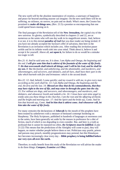The new earth will be the absolute masterpiece of creation, a sanctuary of happiness and peace far beyond anything anyone can imagine. On the new earth there will be no suffering, no sickness, no sorrow, no pain and no death. What's more, the Creator has promised to **make all things new,** (Rev. 21:5) a promise so encompassing that one could spend hours musing on it.

The final passages of the Revelation tell of the **New Jerusalem,** the capital city of the new universe. Its glories, symbolically described in chapters 21 and 22, are as numerous as the saints who will one day walk in its magnificent streets. And, believe it or not, it is to this eternal *paradise of God* that you dear reader are being invited. If you have not already accepted the Saviour's offer of salvation, then here in the Revelation is an invitation which includes you. After reading this invitation pause awhile and let its infinite worth sink into your mind. Think about it, believe it and accept it for yourself. Above all, **act upon it,** for failure to do so would be a mistake too tragic to tell.

*Rev.21: 6: And he said unto me, It is done. I am Alpha and Omega, the beginning and the end. I will give unto him that is athirst of the fountain of the water of life freely. 7: He that overcometh shall inherit all things; and I will be his God, and he shall be my son. 8: But the fearful, and unbelieving, and the abominable, and murderers, and whoremongers, and sorcerers, and idolaters, and all liars, shall have their part in the lake which burneth with fire and brimstone: which is the second death.* 

*Rev.22: 12: And, behold, I come quickly; and my reward is with me, to give every man according as his work shall be. 13: I am Alpha and Omega, the beginning and the end, the first and the last. 14: Blessed are they that do his commandments, that they may have right to the tree of life, and may enter in through the gates into the city. 15: For without are dogs, and sorcerers, and whoremongers, and murderers, and idolaters, and whosoever loveth and maketh a lie. 16: I Jesus have sent mine angel to testify unto you these things in the churches. I am the root and the offspring of David, and the bright and morning star. 17: And the Spirit and the bride say, Come. And let him that heareth say, Come. And let him that is athirst come. And whosoever will, let him take the water of life freely.* 

For many centuries the declarations of **Jehovah** by the mouth of His prophets have been treated by unbelievers with a measure of bemused contempt bordering on blasphemy. The Holy Scriptures, published in hundreds of languages at enormous cost to the saints, have been generally set aside by the masses in preference for a diet of fiction, much of which is too degrading to even consider. But, and here is a truth so profound that it cannot be repeated too often, *the Scriptures must be fulfilled.* (Luke 21:22) This means that the predictions of the Almighty will come to pass, they will happen, no matter whether people believe them or not. Politicians may prattle, priests and parsons may preach, monthly prognosticators may pretend, but this Himalayan fact becomes increasingly clear every day **Bible prophecy is being fulfilled before our very eyes all over the earth.**

Therefore, to really benefit from this study of the Revelation we will advise the reader to do three things: *Compare, Examine and Obey***.**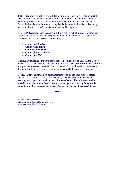FIRST: **Compare** world events with Bible prophecy. Take special note of what the news bulletins and papers say and see for yourself how astonishingly accurate the Holy Scriptures are. In particular check world events against the messages of the Seven Seals and do not be slow to recognise the fact that the Revelation is exactly what it claims to be  $-a$  *divine disclosure of mankind's future.* 

SECOND: **Examine** those passages in Bible prophecy which warn of Satan's many counterfeits which are designed especially to delude mankind, and especially the Christian church, into rejecting the Almighty's Truth.

- *Counterfeit Baptisms*
- *Counterfeit Sabbaths*
- *Counterfeit Prophets*
- *Counterfeit Messiah's* and
- *Counterfeit Bibles*

Thoroughly investigate the truth about the Sign or Signature of Yahweh the God of Israel. Also learn to recognise the signature of Satan, the *Mark of the Beast*. Carefully study all the references quoted in this booklet and do not allow others to detract you from the Truth, because your eternal salvation could be jeopardised if you do.

THIRD: **Obey** the Almighty's commandments. Yes, add to your faith - **obedience,**  before it is eternally too late. The Revelation, as you can see, is Yahweh's final warning message to this rebellious world. *It is a divine call to obedience and it specifies the only route believers may take to escape the terrors of Abaddon. Be quick to take that route, for the crisis at the close of this age has already begun!*

#### **THE END**

Author: *David B Loughran* Stewarton Bible School, Stewarton, Scotland www.stewartonbibleschool.org.uk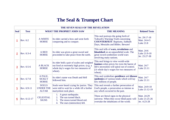## **The Seal & Trumpet Chart**

| THE SEVEN SEALS OF THE REVELATION |              |                                                  |                                                                                                                                               |                                                                                                                                                                                            |                                              |  |  |
|-----------------------------------|--------------|--------------------------------------------------|-----------------------------------------------------------------------------------------------------------------------------------------------|--------------------------------------------------------------------------------------------------------------------------------------------------------------------------------------------|----------------------------------------------|--|--|
| <b>Seal</b>                       | <b>Text</b>  | WHAT THE PROPHET JOHN SAW                        |                                                                                                                                               | <b>THE MEANING</b>                                                                                                                                                                         | <b>Related Texts</b>                         |  |  |
| $\mathbf 1$                       | Rev. 6:2     | <b>A WHITE</b><br><b>HORSE</b>                   | Its rider carried a bow and went forth<br>conquering and to conquer.                                                                          | This seal portrays the going forth of<br>Yahweh's Warning Truth concerning<br><b>COUNTERFEIT: Baptisms, Sabbath</b><br>Days, Messiahs and Bibles. Beware!                                  | Jer. 29:17-18<br>Matt. 24:4-5<br>Luke 21:8   |  |  |
| $\overline{2}$                    | Rev. 6:3-4   | A RED<br><b>HORSE</b>                            | Its rider was given a great sword and<br>proceeded to take peace from the earth.                                                              | This seal tells of wars, revolutions and<br><b>bloodshed</b> on an unparalleled scale. The<br>great sword symbolises world wars<br>involving many nations.                                 | Matt. 24:6<br>Luke 21:9-10<br>Jer. 25:27-38  |  |  |
| $\overline{3}$                    | Rev. 6:5-6   | <b>A BLACK</b><br><b>HORSE</b>                   | Its rider held a pair of scales and weighed<br>out food at extremely high prices. (e.g. a<br>whole day's wages for two measures of<br>wheat). | This seal brings to view world-wide<br>famines when prices for even the barest of<br>life's necessities will spiral out of control.<br>(A whole day's wages for two measures of<br>wheat). | Matt. 24:7<br>Luke 21:11                     |  |  |
| $\overline{4}$                    | Rev. 6:7-8   | A PALE,<br><b>SICKLY</b><br><b>HORSE</b>         | Its rider's name was Death and Hell<br>followed him.                                                                                          | This seal symbolises pestilence and disease<br>epidemics of various kinds which will lay<br>low millions of people.                                                                        | Matt. 24:7<br>Luke 21:11                     |  |  |
| $\overline{5}$                    | Rev. 6:9-11  | <b>SOULS</b><br><b>UNDER THE</b><br><b>ALTAR</b> | Souls were heard crying for justice. They<br>were told to wait for a while till a further<br>martyrdom took place.                            | This seal reveals a further persecution of<br>God's people, a persecution as intense as<br>any which occurred in the past.                                                                 | Matt. 24:9-10<br>Luke 21:12-19               |  |  |
| $6\overline{6}$                   | Rev. 6:12-17 | <b>CELESTIAL</b><br><b>SIGNS</b>                 | 1. A great earthquake.<br>The sun turned black.<br>3.<br>The moon turned blood-red.<br>4. The stars (meteorites) fell.                        | These are literal signs in the physical<br>universe. When they occur blind panic will<br>overtake the inhabitants of the world.                                                            | Matt. 24:29<br>Luke 21:25-26<br>Jer. 4:23-28 |  |  |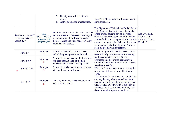|                                                                     |              |                                                                | 5. The sky was rolled back as a<br>scroll.<br>Earth's population was terrified.<br>6.                                                                                                                    | Note: The Messiah does not return to earth<br>during this seal.                                                                                                                                                                                                                                                                                                     |                                                              |
|---------------------------------------------------------------------|--------------|----------------------------------------------------------------|----------------------------------------------------------------------------------------------------------------------------------------------------------------------------------------------------------|---------------------------------------------------------------------------------------------------------------------------------------------------------------------------------------------------------------------------------------------------------------------------------------------------------------------------------------------------------------------|--------------------------------------------------------------|
| <b>Revelation chapter 7</b><br>is inserted between<br>Seals $6 & 7$ |              | <b>THE</b><br><b>SEALING OF</b><br>YAHWEH'S<br><b>SERVANTS</b> | By divine authority the devastation of the<br>earth, the sea and the trees was delayed<br>till the servants of God were sealed in<br>their foreheads and right hands. 144,000<br>Israelites were sealed. | The Signature of Yahweh the God of Israel<br>is the Sabbath days in the sacred calendar.<br>These are the seventh day of the week<br>(Saturday) and the seven annual Sabbaths<br>as specified in Lev. chapter 23. Each one is<br>a sacred memorial of a divine achievement<br>in the plan of Salvation. In short, Yahweh<br>seals his people with obedience.        | Eze. 20:12&20<br>Exodus 13:9<br>Exodus 31:13-17<br>Ezekiel 9 |
| $\overline{1}$                                                      | Rev. 8:7     | Trumpet                                                        | A third of the earth, a third of the trees<br>and all the green grass were burned.                                                                                                                       | This damaging of the earth, the sea and the<br>trees will only take place after the sealing                                                                                                                                                                                                                                                                         |                                                              |
|                                                                     | Rev. 8:8-9   | Trumpet<br>$\overline{2}$                                      | A third of the sea became like the blood<br>of a dead man. A third of the fish<br>perished and a third of the ships sank.                                                                                | work is completed (Rev. 7:3). The<br>Trumpets, in other words, cannot even<br>commence their destruction till all 144,000<br>Israelites are sealed.                                                                                                                                                                                                                 |                                                              |
|                                                                     | Rev. 8:10-11 | Trumpet<br>$\overline{3}$                                      | A third of the rivers of water were made<br>bitter and many people died.                                                                                                                                 | When the Trumpets eventually do sound, a<br>time of great devastation will begin on<br>earth.<br>The terms earth, sea, trees, grass, fish, ships<br>etc. may have symbolic as well as literal<br>meanings. But it must be remembered that<br>ONE THIRD OF MANKIND are slain at<br>Trumpet No. 6, so it is most unlikely that<br>these terms also represent mankind. |                                                              |
|                                                                     | Rev. 8:12    | Trumpet<br>$\overline{4}$                                      | The sun, moon and the stars were then<br>darkened by a third.                                                                                                                                            |                                                                                                                                                                                                                                                                                                                                                                     |                                                              |